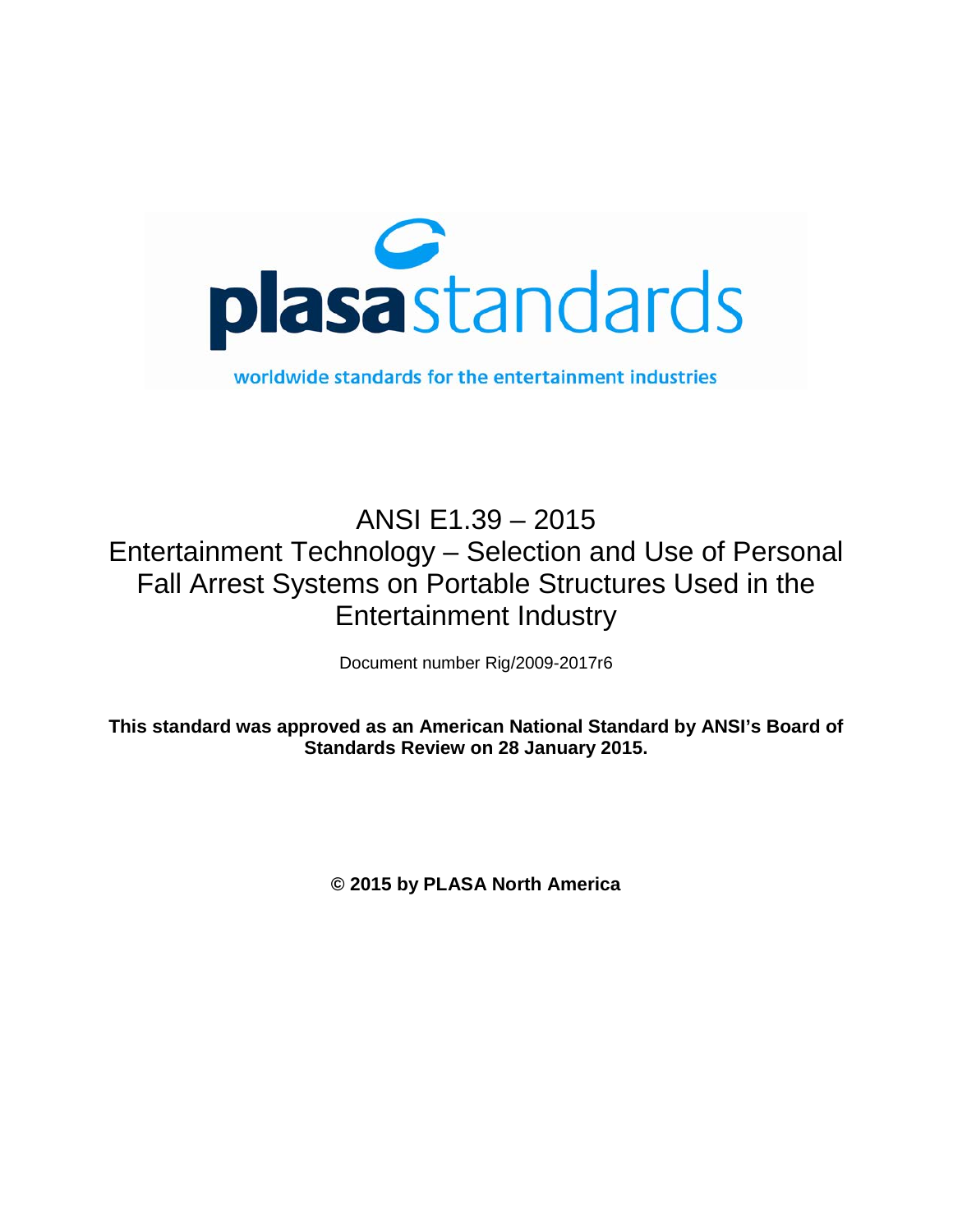

worldwide standards for the entertainment industries

ANSI E1.39 – 2015 Entertainment Technology – Selection and Use of Personal Fall Arrest Systems on Portable Structures Used in the Entertainment Industry

Document number Rig/2009-2017r6

**This standard was approved as an American National Standard by ANSI's Board of Standards Review on 28 January 2015.**

**© 2015 by PLASA North America**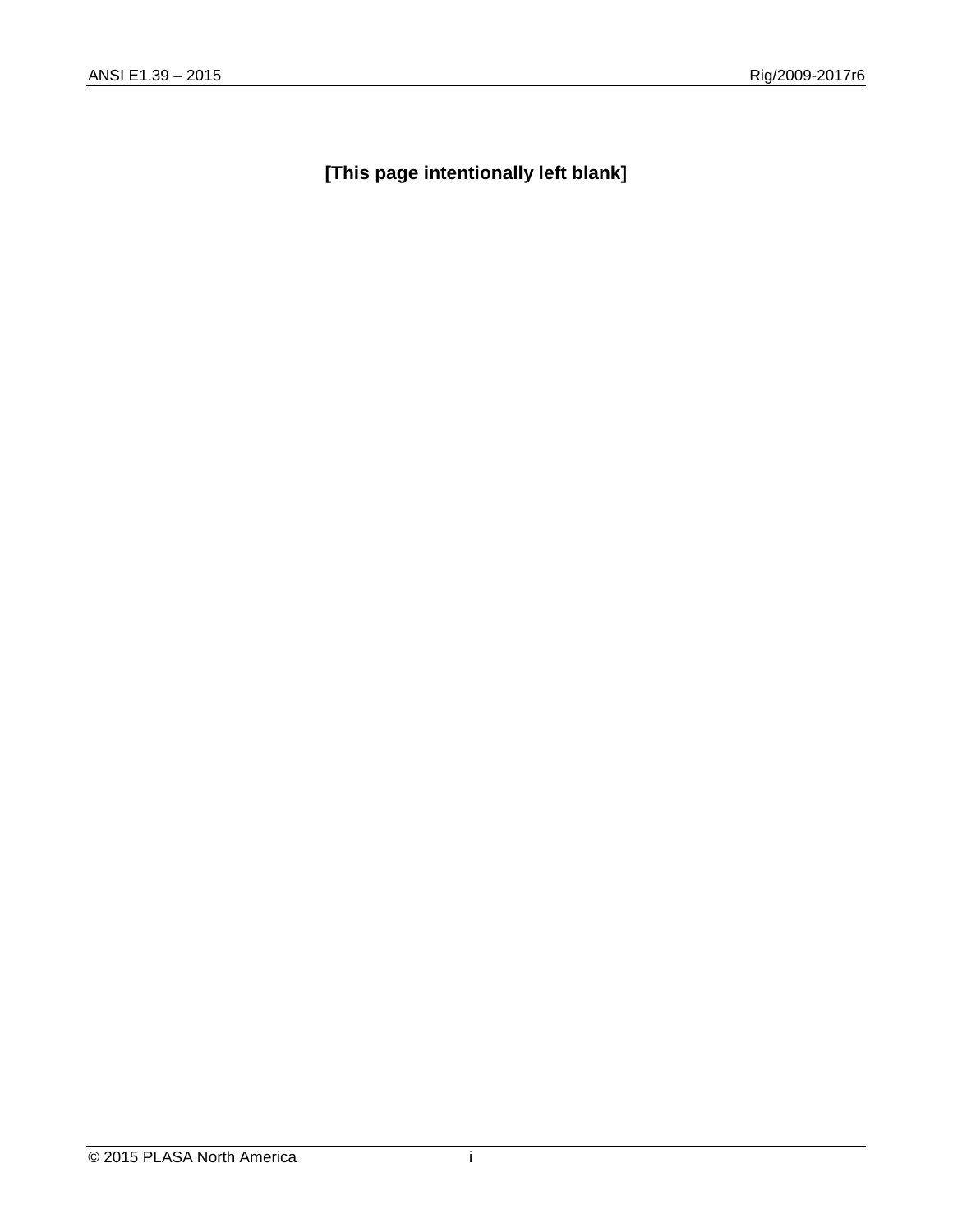**[This page intentionally left blank]**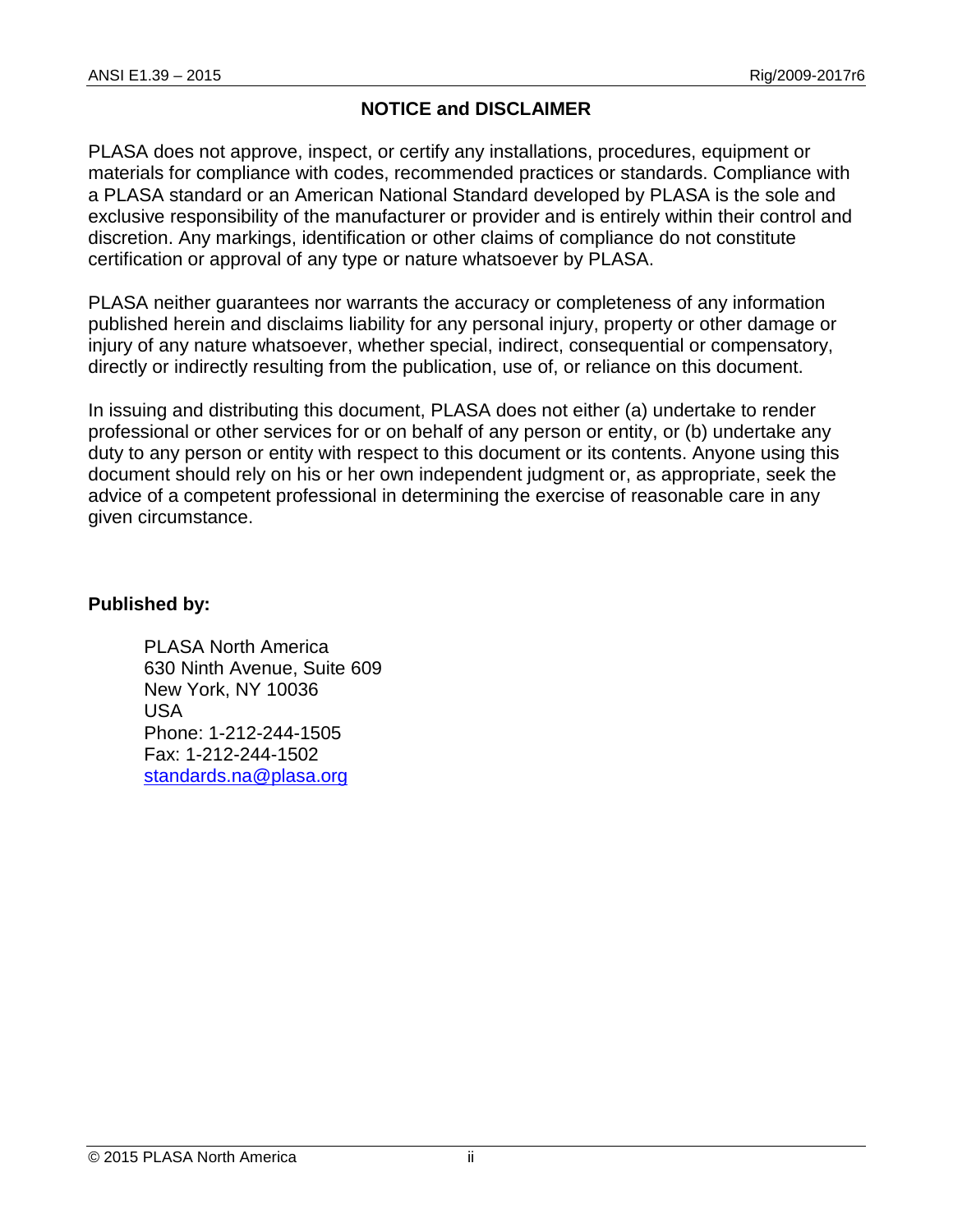# **NOTICE and DISCLAIMER**

<span id="page-2-0"></span>PLASA does not approve, inspect, or certify any installations, procedures, equipment or materials for compliance with codes, recommended practices or standards. Compliance with a PLASA standard or an American National Standard developed by PLASA is the sole and exclusive responsibility of the manufacturer or provider and is entirely within their control and discretion. Any markings, identification or other claims of compliance do not constitute certification or approval of any type or nature whatsoever by PLASA.

PLASA neither guarantees nor warrants the accuracy or completeness of any information published herein and disclaims liability for any personal injury, property or other damage or injury of any nature whatsoever, whether special, indirect, consequential or compensatory, directly or indirectly resulting from the publication, use of, or reliance on this document.

In issuing and distributing this document, PLASA does not either (a) undertake to render professional or other services for or on behalf of any person or entity, or (b) undertake any duty to any person or entity with respect to this document or its contents. Anyone using this document should rely on his or her own independent judgment or, as appropriate, seek the advice of a competent professional in determining the exercise of reasonable care in any given circumstance.

#### **Published by:**

PLASA North America 630 Ninth Avenue, Suite 609 New York, NY 10036 USA Phone: 1-212-244-1505 Fax: 1-212-244-1502 [standards.na@plasa.org](mailto:standards.na@plasa.org)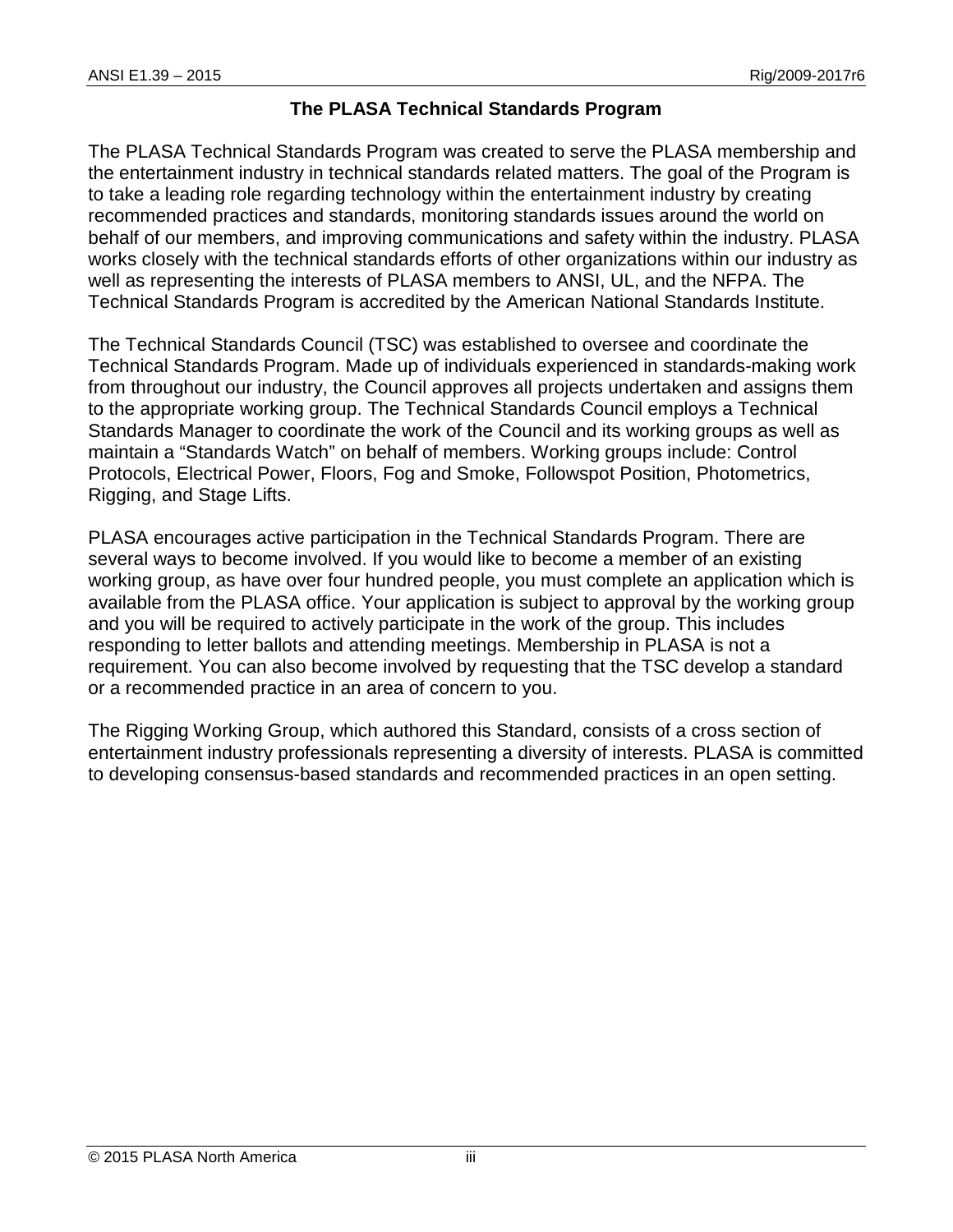# **The PLASA Technical Standards Program**

The PLASA Technical Standards Program was created to serve the PLASA membership and the entertainment industry in technical standards related matters. The goal of the Program is to take a leading role regarding technology within the entertainment industry by creating recommended practices and standards, monitoring standards issues around the world on behalf of our members, and improving communications and safety within the industry. PLASA works closely with the technical standards efforts of other organizations within our industry as well as representing the interests of PLASA members to ANSI, UL, and the NFPA. The Technical Standards Program is accredited by the American National Standards Institute.

The Technical Standards Council (TSC) was established to oversee and coordinate the Technical Standards Program. Made up of individuals experienced in standards-making work from throughout our industry, the Council approves all projects undertaken and assigns them to the appropriate working group. The Technical Standards Council employs a Technical Standards Manager to coordinate the work of the Council and its working groups as well as maintain a "Standards Watch" on behalf of members. Working groups include: Control Protocols, Electrical Power, Floors, Fog and Smoke, Followspot Position, Photometrics, Rigging, and Stage Lifts.

PLASA encourages active participation in the Technical Standards Program. There are several ways to become involved. If you would like to become a member of an existing working group, as have over four hundred people, you must complete an application which is available from the PLASA office. Your application is subject to approval by the working group and you will be required to actively participate in the work of the group. This includes responding to letter ballots and attending meetings. Membership in PLASA is not a requirement. You can also become involved by requesting that the TSC develop a standard or a recommended practice in an area of concern to you.

The Rigging Working Group, which authored this Standard, consists of a cross section of entertainment industry professionals representing a diversity of interests. PLASA is committed to developing consensus-based standards and recommended practices in an open setting.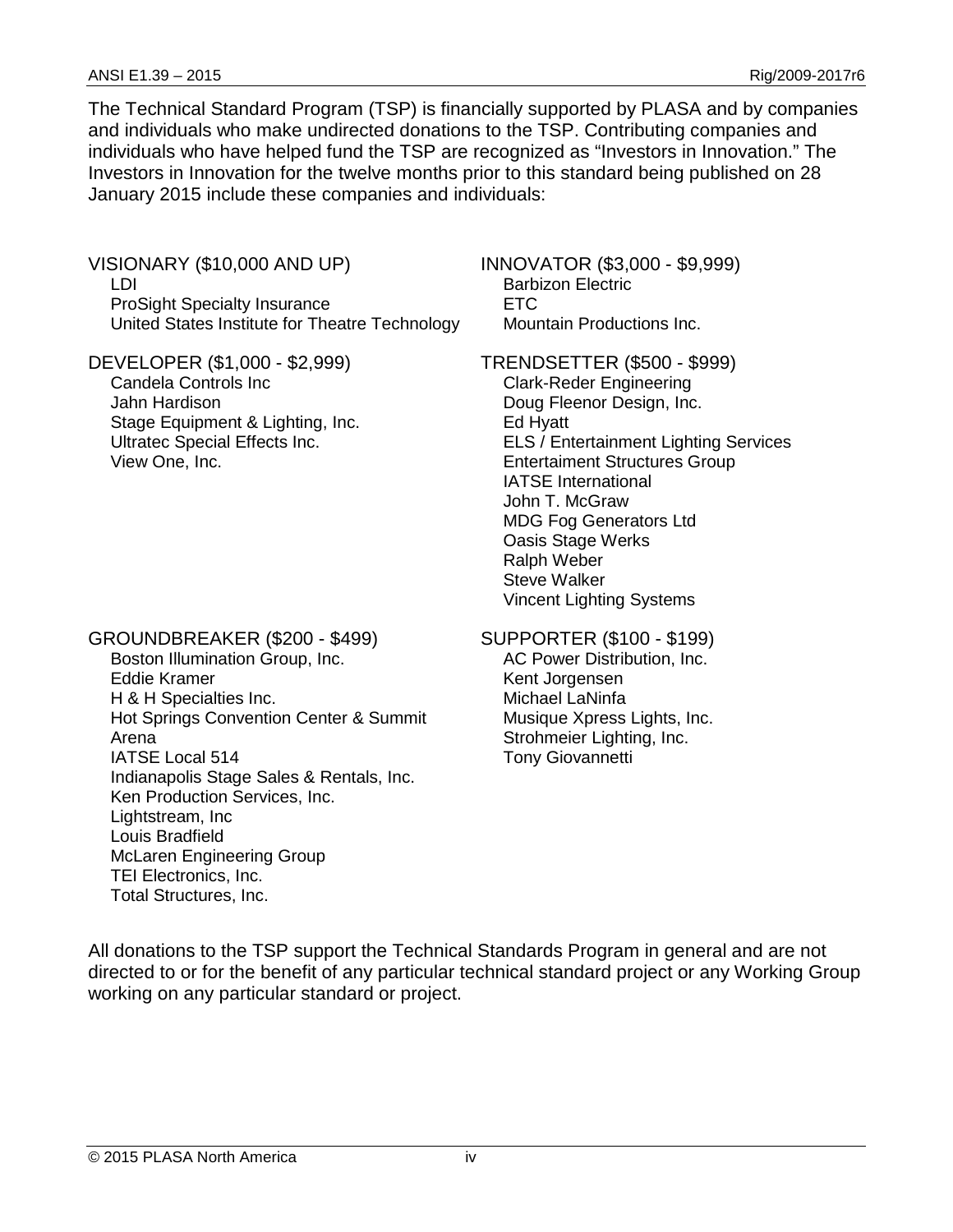The Technical Standard Program (TSP) is financially supported by PLASA and by companies and individuals who make undirected donations to the TSP. Contributing companies and individuals who have helped fund the TSP are recognized as "Investors in Innovation." The Investors in Innovation for the twelve months prior to this standard being published on 28 January 2015 include these companies and individuals:

VISIONARY (\$10,000 AND UP) LDI ProSight Specialty Insurance United States Institute for Theatre Technology

DEVELOPER (\$1,000 - \$2,999)

Candela Controls Inc Jahn Hardison Stage Equipment & Lighting, Inc. Ultratec Special Effects Inc. View One, Inc.

#### GROUNDBREAKER (\$200 - \$499) Boston Illumination Group, Inc.

Eddie Kramer H & H Specialties Inc. Hot Springs Convention Center & Summit Arena IATSE Local 514 Indianapolis Stage Sales & Rentals, Inc. Ken Production Services, Inc. Lightstream, Inc Louis Bradfield McLaren Engineering Group TEI Electronics, Inc. Total Structures, Inc.

INNOVATOR (\$3,000 - \$9,999) Barbizon Electric ETC Mountain Productions Inc.

TRENDSETTER (\$500 - \$999)

Clark-Reder Engineering Doug Fleenor Design, Inc. Ed Hyatt ELS / Entertainment Lighting Services Entertaiment Structures Group IATSE International John T. McGraw MDG Fog Generators Ltd Oasis Stage Werks Ralph Weber Steve Walker Vincent Lighting Systems

SUPPORTER (\$100 - \$199)

AC Power Distribution, Inc. Kent Jorgensen Michael LaNinfa Musique Xpress Lights, Inc. Strohmeier Lighting, Inc. Tony Giovannetti

All donations to the TSP support the Technical Standards Program in general and are not directed to or for the benefit of any particular technical standard project or any Working Group working on any particular standard or project.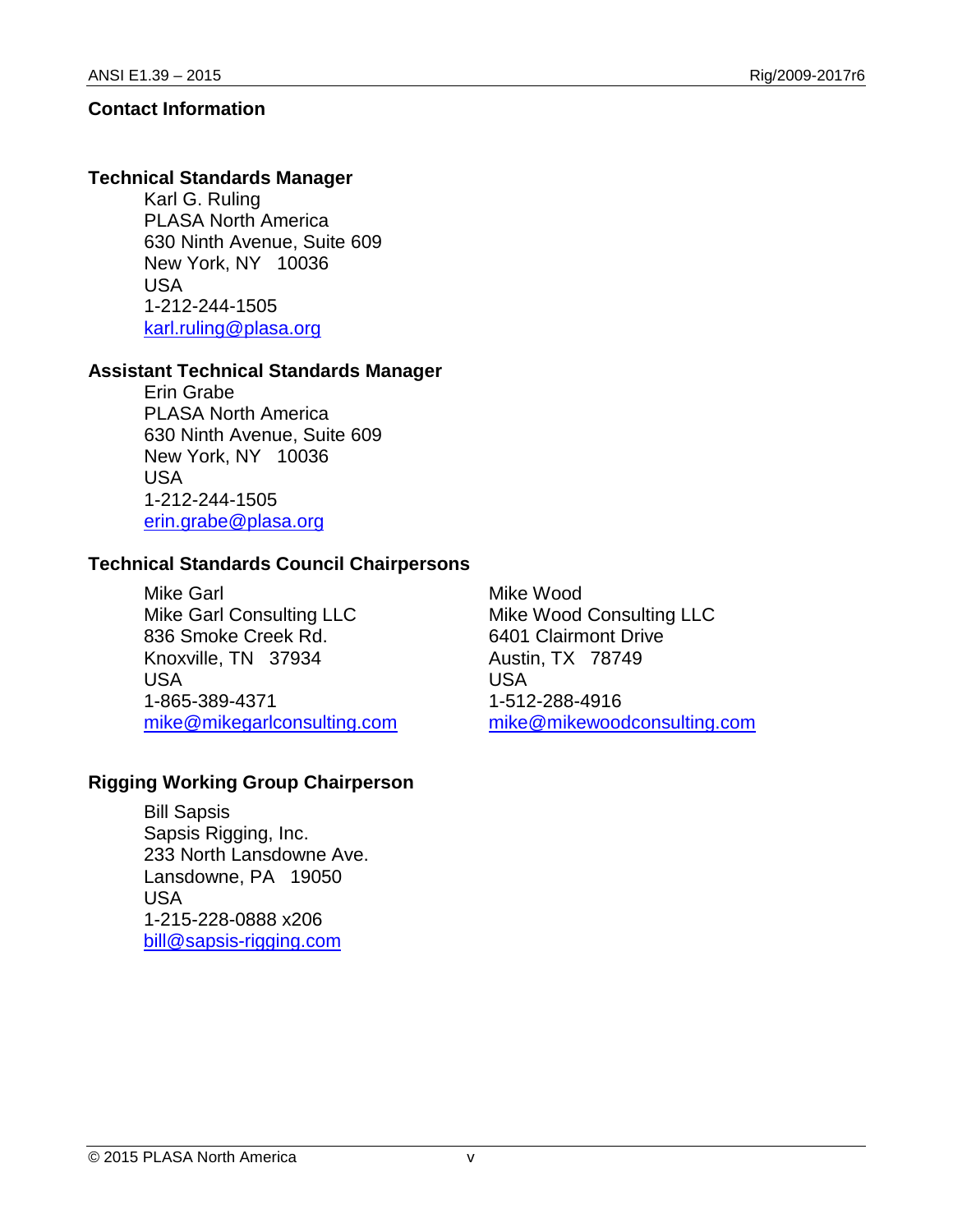#### <span id="page-5-0"></span>**Contact Information**

#### **Technical Standards Manager**

Karl G. Ruling PLASA North America 630 Ninth Avenue, Suite 609 New York, NY 10036 USA 1-212-244-1505 [karl.ruling@plasa.org](mailto:karl.ruling@plasa.org)

#### **Assistant Technical Standards Manager**

Erin Grabe PLASA North America 630 Ninth Avenue, Suite 609 New York, NY 10036 USA 1-212-244-1505 [erin.grabe@plasa.org](mailto:erin.grabe@plasa.org)

#### **Technical Standards Council Chairpersons**

Mike Garl Mike Garl Consulting LLC 836 Smoke Creek Rd. Knoxville, TN 37934 USA 1-865-389-4371 [mike@mikegarlconsulting.com](mailto:mike@mikegarlconsulting.com)

#### **Rigging Working Group Chairperson**

Bill Sapsis Sapsis Rigging, Inc. 233 North Lansdowne Ave. Lansdowne, PA 19050 USA 1-215-228-0888 x206 [bill@sapsis-rigging.com](mailto:bill@sapsis-rigging.com)

Mike Wood Mike Wood Consulting LLC 6401 Clairmont Drive Austin, TX 78749 USA 1-512-288-4916 [mike@mikewoodconsulting.com](mailto:mike@mikewoodconsulting.com)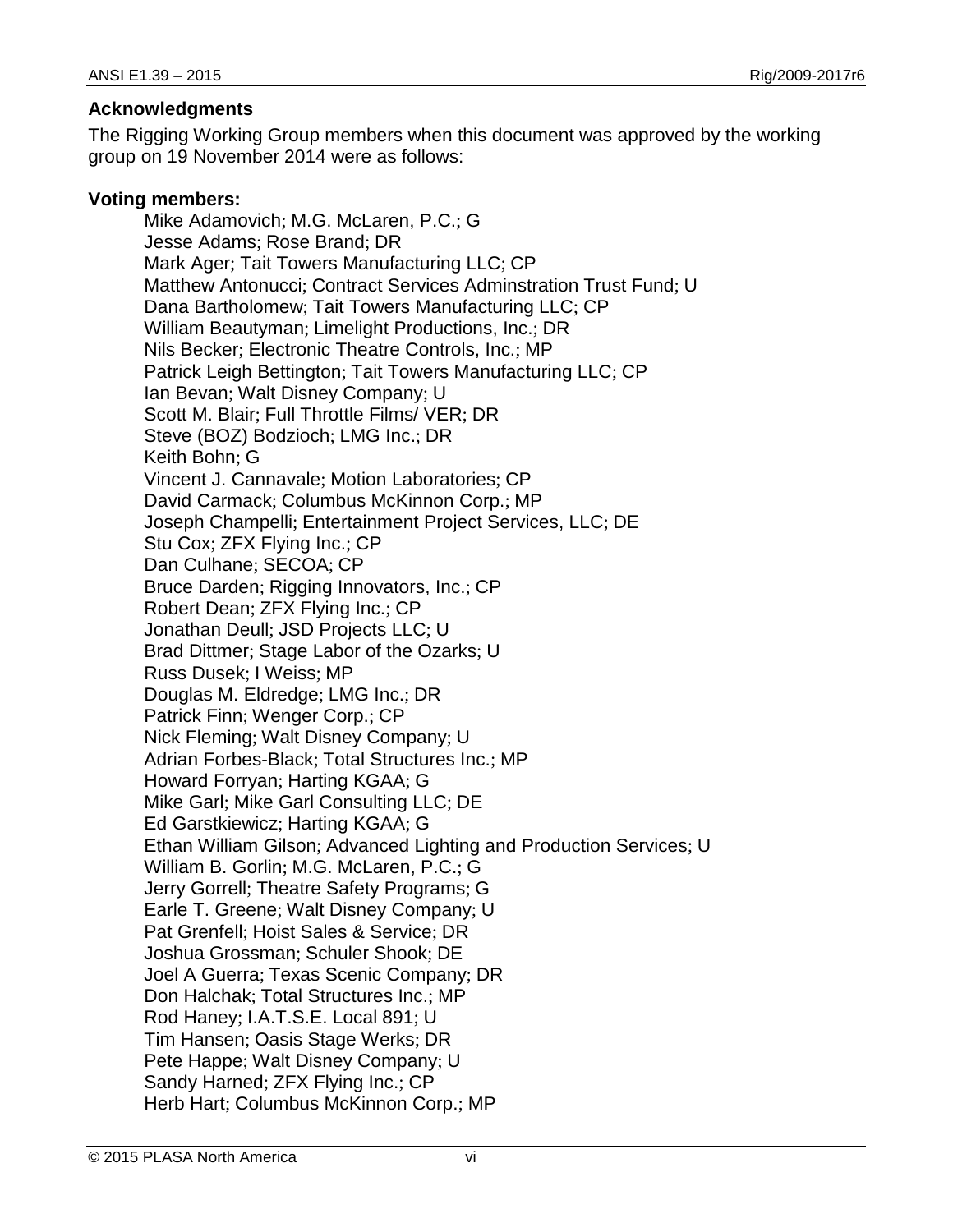# <span id="page-6-0"></span>**Acknowledgments**

The Rigging Working Group members when this document was approved by the working group on 19 November 2014 were as follows:

### **Voting members:**

Mike Adamovich; M.G. McLaren, P.C.; G Jesse Adams; Rose Brand; DR Mark Ager; Tait Towers Manufacturing LLC; CP Matthew Antonucci; Contract Services Adminstration Trust Fund; U Dana Bartholomew; Tait Towers Manufacturing LLC; CP William Beautyman; Limelight Productions, Inc.; DR Nils Becker; Electronic Theatre Controls, Inc.; MP Patrick Leigh Bettington; Tait Towers Manufacturing LLC; CP Ian Bevan; Walt Disney Company; U Scott M. Blair; Full Throttle Films/ VER; DR Steve (BOZ) Bodzioch; LMG Inc.; DR Keith Bohn; G Vincent J. Cannavale; Motion Laboratories; CP David Carmack; Columbus McKinnon Corp.; MP Joseph Champelli; Entertainment Project Services, LLC; DE Stu Cox; ZFX Flying Inc.; CP Dan Culhane; SECOA; CP Bruce Darden; Rigging Innovators, Inc.; CP Robert Dean; ZFX Flying Inc.; CP Jonathan Deull; JSD Projects LLC; U Brad Dittmer; Stage Labor of the Ozarks; U Russ Dusek; I Weiss; MP Douglas M. Eldredge; LMG Inc.; DR Patrick Finn; Wenger Corp.; CP Nick Fleming; Walt Disney Company; U Adrian Forbes-Black; Total Structures Inc.; MP Howard Forryan; Harting KGAA; G Mike Garl; Mike Garl Consulting LLC; DE Ed Garstkiewicz; Harting KGAA; G Ethan William Gilson; Advanced Lighting and Production Services; U William B. Gorlin; M.G. McLaren, P.C.; G Jerry Gorrell; Theatre Safety Programs; G Earle T. Greene; Walt Disney Company; U Pat Grenfell; Hoist Sales & Service; DR Joshua Grossman; Schuler Shook; DE Joel A Guerra; Texas Scenic Company; DR Don Halchak; Total Structures Inc.; MP Rod Haney; I.A.T.S.E. Local 891; U Tim Hansen; Oasis Stage Werks; DR Pete Happe; Walt Disney Company; U Sandy Harned; ZFX Flying Inc.; CP Herb Hart; Columbus McKinnon Corp.; MP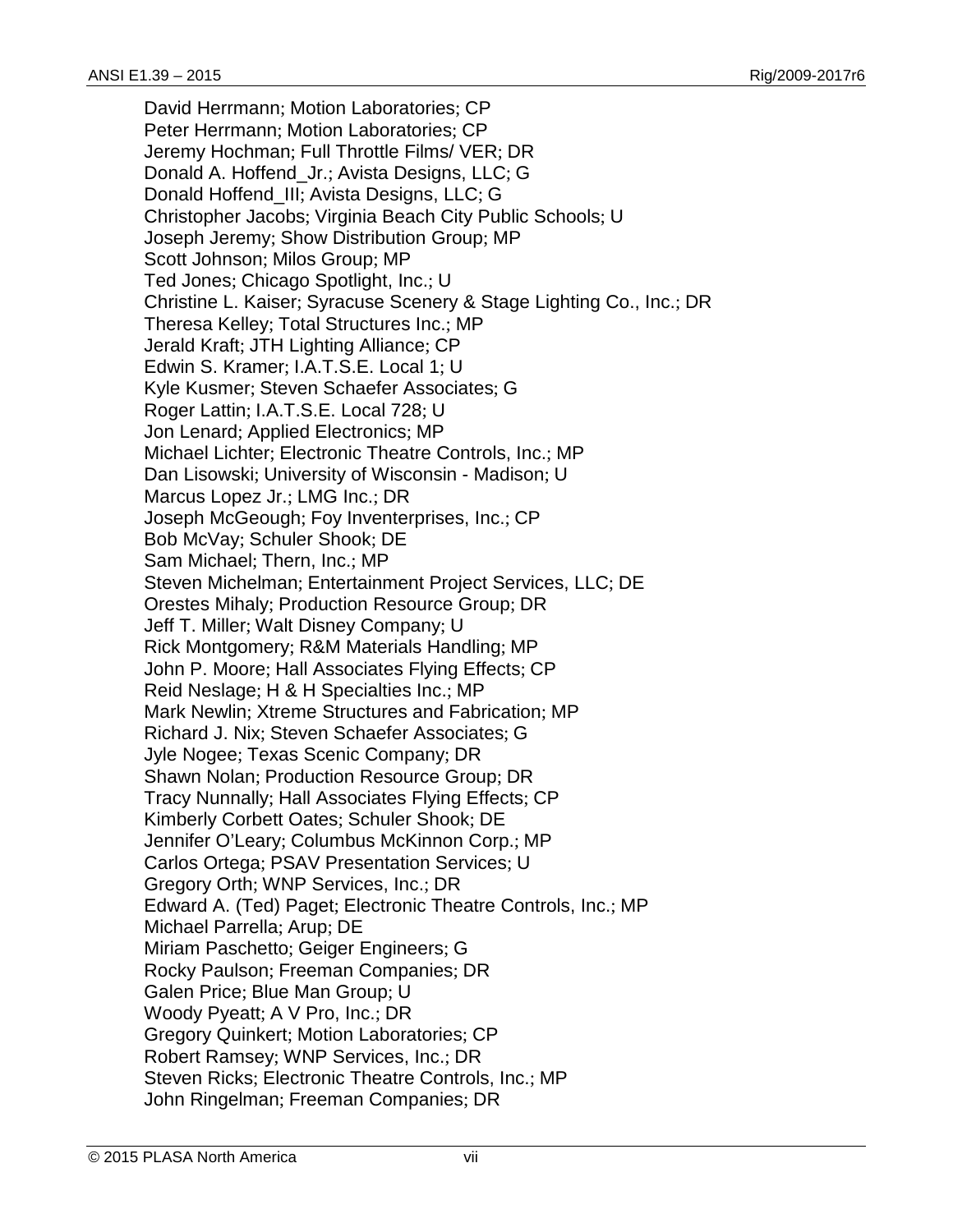David Herrmann; Motion Laboratories; CP Peter Herrmann; Motion Laboratories; CP Jeremy Hochman; Full Throttle Films/ VER; DR Donald A. Hoffend\_Jr.; Avista Designs, LLC; G Donald Hoffend\_III; Avista Designs, LLC; G Christopher Jacobs; Virginia Beach City Public Schools; U Joseph Jeremy; Show Distribution Group; MP Scott Johnson; Milos Group; MP Ted Jones; Chicago Spotlight, Inc.; U Christine L. Kaiser; Syracuse Scenery & Stage Lighting Co., Inc.; DR Theresa Kelley; Total Structures Inc.; MP Jerald Kraft; JTH Lighting Alliance; CP Edwin S. Kramer; I.A.T.S.E. Local 1; U Kyle Kusmer; Steven Schaefer Associates; G Roger Lattin; I.A.T.S.E. Local 728; U Jon Lenard; Applied Electronics; MP Michael Lichter; Electronic Theatre Controls, Inc.; MP Dan Lisowski; University of Wisconsin - Madison; U Marcus Lopez Jr.; LMG Inc.; DR Joseph McGeough; Foy Inventerprises, Inc.; CP Bob McVay; Schuler Shook; DE Sam Michael; Thern, Inc.; MP Steven Michelman; Entertainment Project Services, LLC; DE Orestes Mihaly; Production Resource Group; DR Jeff T. Miller; Walt Disney Company; U Rick Montgomery; R&M Materials Handling; MP John P. Moore; Hall Associates Flying Effects; CP Reid Neslage; H & H Specialties Inc.; MP Mark Newlin; Xtreme Structures and Fabrication; MP Richard J. Nix; Steven Schaefer Associates; G Jyle Nogee; Texas Scenic Company; DR Shawn Nolan; Production Resource Group; DR Tracy Nunnally; Hall Associates Flying Effects; CP Kimberly Corbett Oates; Schuler Shook; DE Jennifer O'Leary; Columbus McKinnon Corp.; MP Carlos Ortega; PSAV Presentation Services; U Gregory Orth; WNP Services, Inc.; DR Edward A. (Ted) Paget; Electronic Theatre Controls, Inc.; MP Michael Parrella; Arup; DE Miriam Paschetto; Geiger Engineers; G Rocky Paulson; Freeman Companies; DR Galen Price; Blue Man Group; U Woody Pyeatt; A V Pro, Inc.; DR Gregory Quinkert; Motion Laboratories; CP Robert Ramsey; WNP Services, Inc.; DR Steven Ricks; Electronic Theatre Controls, Inc.; MP John Ringelman; Freeman Companies; DR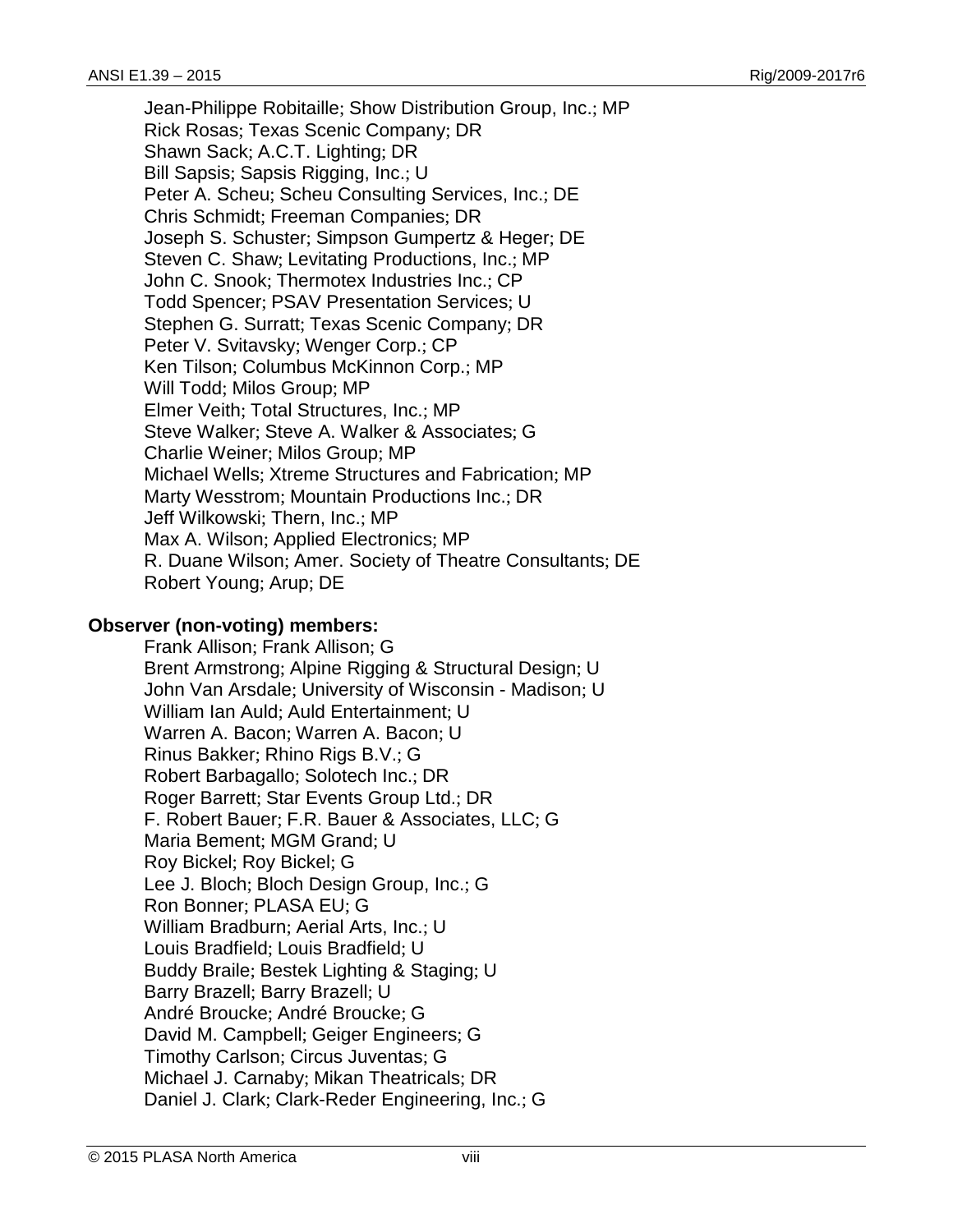Jean-Philippe Robitaille; Show Distribution Group, Inc.; MP Rick Rosas; Texas Scenic Company; DR Shawn Sack; A.C.T. Lighting; DR Bill Sapsis; Sapsis Rigging, Inc.; U Peter A. Scheu; Scheu Consulting Services, Inc.; DE Chris Schmidt; Freeman Companies; DR Joseph S. Schuster; Simpson Gumpertz & Heger; DE Steven C. Shaw; Levitating Productions, Inc.; MP John C. Snook; Thermotex Industries Inc.; CP Todd Spencer; PSAV Presentation Services; U Stephen G. Surratt; Texas Scenic Company; DR Peter V. Svitavsky; Wenger Corp.; CP Ken Tilson; Columbus McKinnon Corp.; MP Will Todd; Milos Group; MP Elmer Veith; Total Structures, Inc.; MP Steve Walker; Steve A. Walker & Associates; G Charlie Weiner; Milos Group; MP Michael Wells; Xtreme Structures and Fabrication; MP Marty Wesstrom; Mountain Productions Inc.; DR Jeff Wilkowski; Thern, Inc.; MP Max A. Wilson; Applied Electronics; MP R. Duane Wilson; Amer. Society of Theatre Consultants; DE Robert Young; Arup; DE

#### **Observer (non-voting) members:**

Frank Allison; Frank Allison; G Brent Armstrong; Alpine Rigging & Structural Design; U John Van Arsdale; University of Wisconsin - Madison; U William Ian Auld; Auld Entertainment; U Warren A. Bacon; Warren A. Bacon; U Rinus Bakker; Rhino Rigs B.V.; G Robert Barbagallo; Solotech Inc.; DR Roger Barrett; Star Events Group Ltd.; DR F. Robert Bauer; F.R. Bauer & Associates, LLC; G Maria Bement; MGM Grand; U Roy Bickel; Roy Bickel; G Lee J. Bloch; Bloch Design Group, Inc.; G Ron Bonner; PLASA EU; G William Bradburn; Aerial Arts, Inc.; U Louis Bradfield; Louis Bradfield; U Buddy Braile; Bestek Lighting & Staging; U Barry Brazell; Barry Brazell; U André Broucke; André Broucke; G David M. Campbell; Geiger Engineers; G Timothy Carlson; Circus Juventas; G Michael J. Carnaby; Mikan Theatricals; DR Daniel J. Clark; Clark-Reder Engineering, Inc.; G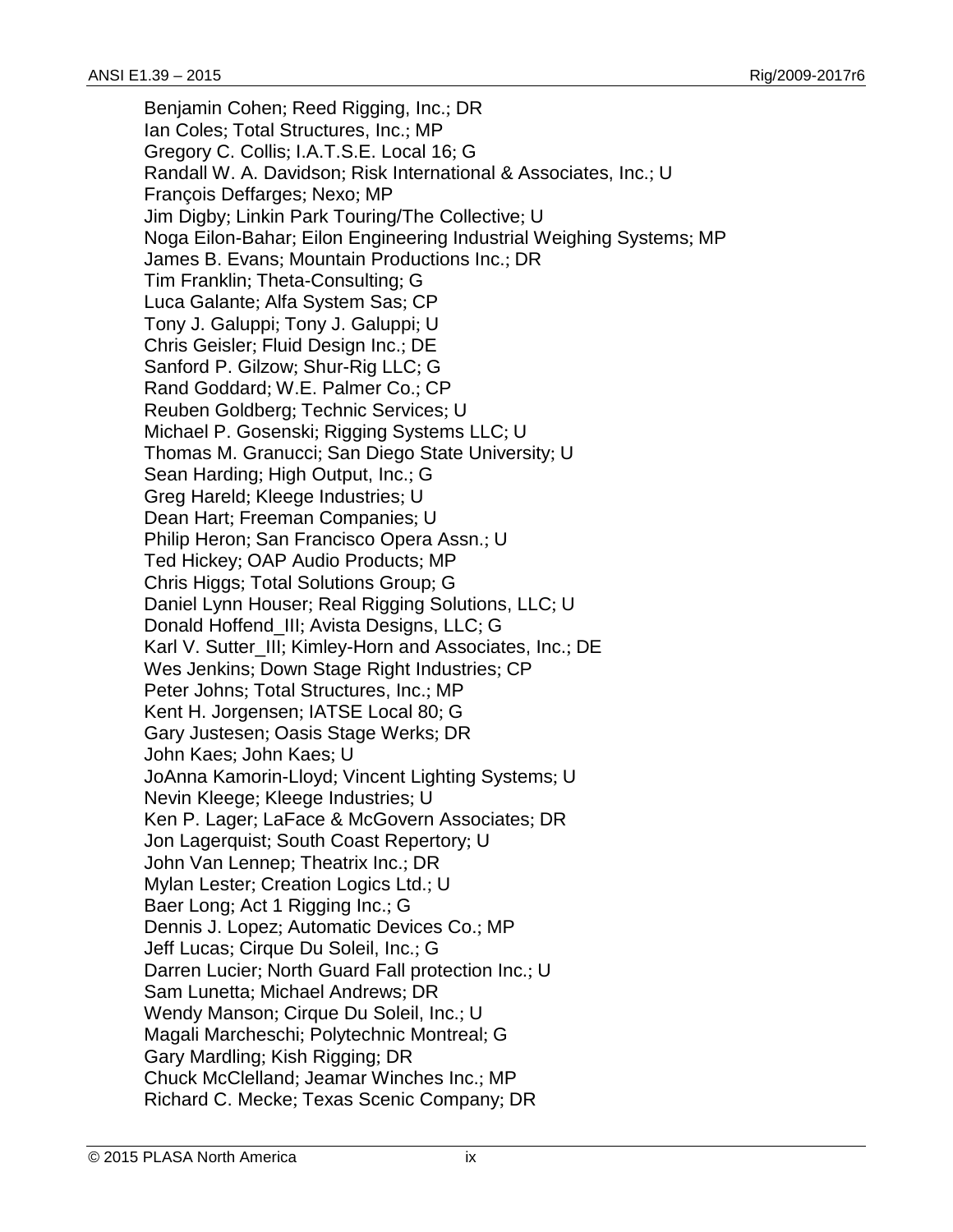Benjamin Cohen; Reed Rigging, Inc.; DR Ian Coles; Total Structures, Inc.; MP Gregory C. Collis; I.A.T.S.E. Local 16; G Randall W. A. Davidson; Risk International & Associates, Inc.; U François Deffarges; Nexo; MP Jim Digby; Linkin Park Touring/The Collective; U Noga Eilon-Bahar; Eilon Engineering Industrial Weighing Systems; MP James B. Evans; Mountain Productions Inc.; DR Tim Franklin; Theta-Consulting; G Luca Galante; Alfa System Sas; CP Tony J. Galuppi; Tony J. Galuppi; U Chris Geisler; Fluid Design Inc.; DE Sanford P. Gilzow; Shur-Rig LLC; G Rand Goddard; W.E. Palmer Co.; CP Reuben Goldberg; Technic Services; U Michael P. Gosenski; Rigging Systems LLC; U Thomas M. Granucci; San Diego State University; U Sean Harding; High Output, Inc.; G Greg Hareld; Kleege Industries; U Dean Hart; Freeman Companies; U Philip Heron; San Francisco Opera Assn.; U Ted Hickey; OAP Audio Products; MP Chris Higgs; Total Solutions Group; G Daniel Lynn Houser; Real Rigging Solutions, LLC; U Donald Hoffend\_III; Avista Designs, LLC; G Karl V. Sutter\_III; Kimley-Horn and Associates, Inc.; DE Wes Jenkins; Down Stage Right Industries; CP Peter Johns; Total Structures, Inc.; MP Kent H. Jorgensen; IATSE Local 80; G Gary Justesen; Oasis Stage Werks; DR John Kaes; John Kaes; U JoAnna Kamorin-Lloyd; Vincent Lighting Systems; U Nevin Kleege; Kleege Industries; U Ken P. Lager; LaFace & McGovern Associates; DR Jon Lagerquist; South Coast Repertory; U John Van Lennep; Theatrix Inc.; DR Mylan Lester; Creation Logics Ltd.; U Baer Long; Act 1 Rigging Inc.; G Dennis J. Lopez; Automatic Devices Co.; MP Jeff Lucas; Cirque Du Soleil, Inc.; G Darren Lucier; North Guard Fall protection Inc.; U Sam Lunetta; Michael Andrews; DR Wendy Manson; Cirque Du Soleil, Inc.; U Magali Marcheschi; Polytechnic Montreal; G Gary Mardling; Kish Rigging; DR Chuck McClelland; Jeamar Winches Inc.; MP Richard C. Mecke; Texas Scenic Company; DR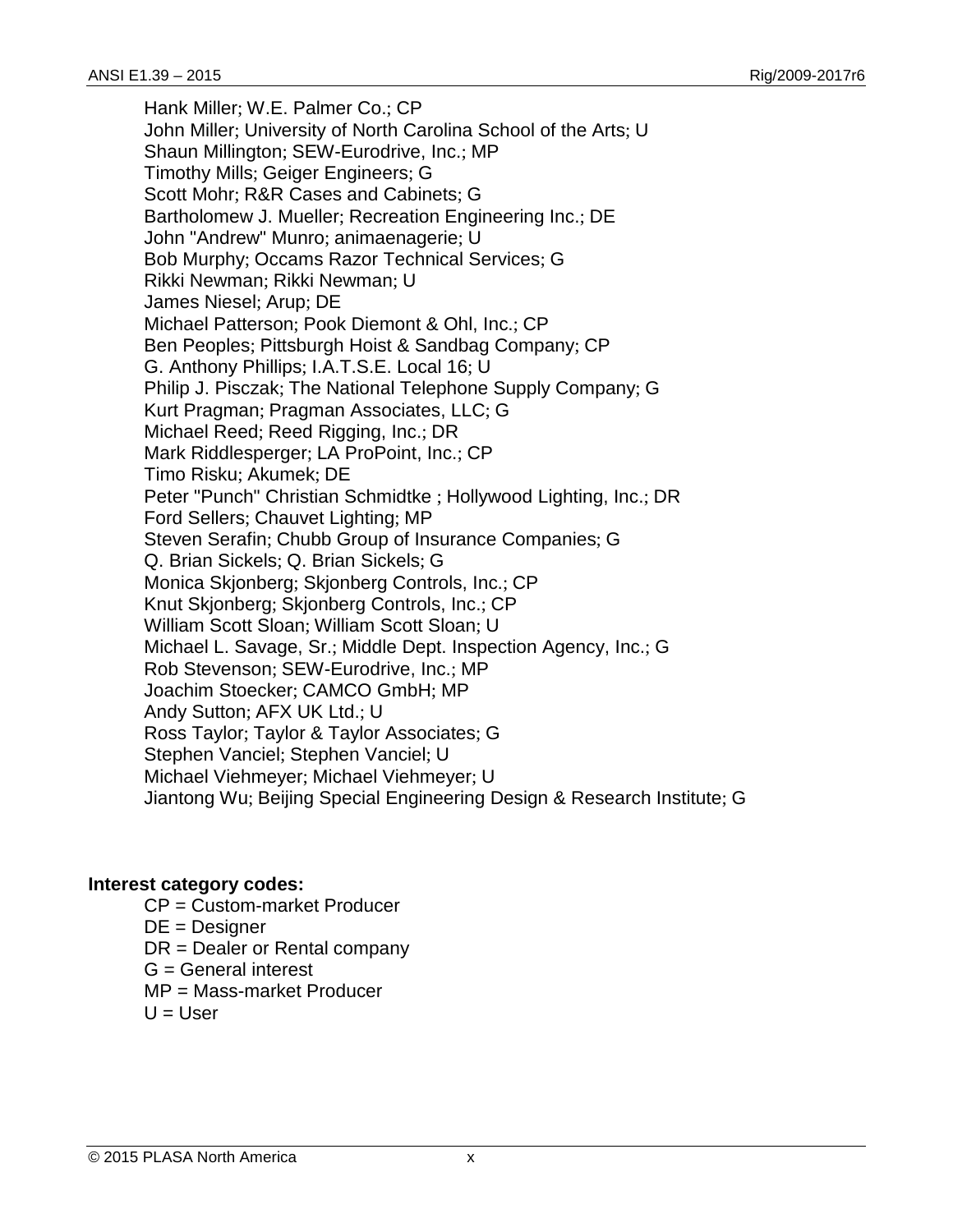Hank Miller; W.E. Palmer Co.; CP John Miller; University of North Carolina School of the Arts; U Shaun Millington; SEW-Eurodrive, Inc.; MP Timothy Mills; Geiger Engineers; G Scott Mohr; R&R Cases and Cabinets; G Bartholomew J. Mueller; Recreation Engineering Inc.; DE John "Andrew" Munro; animaenagerie; U Bob Murphy; Occams Razor Technical Services; G Rikki Newman; Rikki Newman; U James Niesel; Arup; DE Michael Patterson; Pook Diemont & Ohl, Inc.; CP Ben Peoples; Pittsburgh Hoist & Sandbag Company; CP G. Anthony Phillips; I.A.T.S.E. Local 16; U Philip J. Pisczak; The National Telephone Supply Company; G Kurt Pragman; Pragman Associates, LLC; G Michael Reed; Reed Rigging, Inc.; DR Mark Riddlesperger; LA ProPoint, Inc.; CP Timo Risku; Akumek; DE Peter "Punch" Christian Schmidtke ; Hollywood Lighting, Inc.; DR Ford Sellers; Chauvet Lighting; MP Steven Serafin; Chubb Group of Insurance Companies; G Q. Brian Sickels; Q. Brian Sickels; G Monica Skjonberg; Skjonberg Controls, Inc.; CP Knut Skjonberg; Skjonberg Controls, Inc.; CP William Scott Sloan; William Scott Sloan; U Michael L. Savage, Sr.; Middle Dept. Inspection Agency, Inc.; G Rob Stevenson; SEW-Eurodrive, Inc.; MP Joachim Stoecker; CAMCO GmbH; MP Andy Sutton; AFX UK Ltd.; U Ross Taylor; Taylor & Taylor Associates; G Stephen Vanciel; Stephen Vanciel; U Michael Viehmeyer; Michael Viehmeyer; U Jiantong Wu; Beijing Special Engineering Design & Research Institute; G

#### **Interest category codes:**

CP = Custom-market Producer DE = Designer DR = Dealer or Rental company G = General interest MP = Mass-market Producer  $U = U$ ser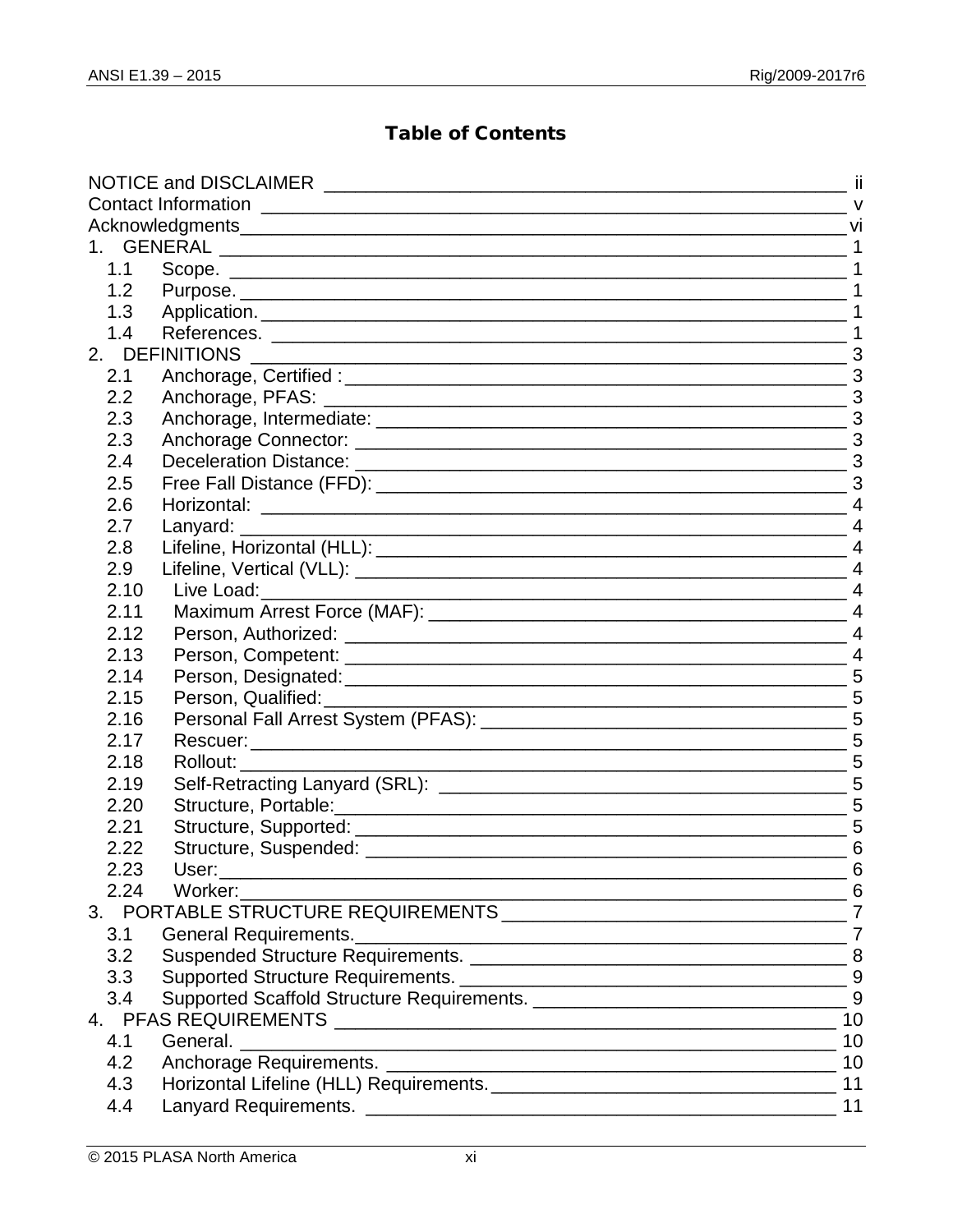# **Table of Contents**

|      |                                                                               | – ii           |
|------|-------------------------------------------------------------------------------|----------------|
|      |                                                                               |                |
|      |                                                                               |                |
|      |                                                                               |                |
| 1.1  |                                                                               |                |
| 1.2  |                                                                               | 1              |
| 1.3  |                                                                               |                |
| 1.4  |                                                                               | 1              |
|      | 2. DEFINITIONS<br><u> 1989 - Johann Stoff, amerikansk politiker (d. 1989)</u> | 3              |
| 2.1  |                                                                               | 3              |
| 2.2  |                                                                               |                |
| 2.3  |                                                                               | 3              |
| 2.3  |                                                                               | 3              |
| 2.4  |                                                                               |                |
| 2.5  |                                                                               | 3              |
| 2.6  |                                                                               | $\overline{4}$ |
| 2.7  | Lanyard:                                                                      |                |
| 2.8  |                                                                               | $\overline{4}$ |
| 2.9  |                                                                               |                |
| 2.10 | Live Load:                                                                    |                |
| 2.11 |                                                                               |                |
| 2.12 |                                                                               |                |
| 2.13 |                                                                               | $\overline{4}$ |
| 2.14 |                                                                               |                |
| 2.15 |                                                                               |                |
| 2.16 |                                                                               |                |
| 2.17 |                                                                               |                |
| 2.18 | Rollout: _______                                                              |                |
| 2.19 |                                                                               | 5              |
| 2.20 | Structure, Portable: 5                                                        |                |
| 2.21 |                                                                               |                |
| 2.22 |                                                                               | 6              |
| 2.23 |                                                                               |                |
| 2.24 | Worker:                                                                       |                |
|      |                                                                               |                |
| 3.1  |                                                                               |                |
| 3.2  |                                                                               |                |
| 3.3  |                                                                               |                |
| 3.4  |                                                                               |                |
|      |                                                                               |                |
| 4.1  |                                                                               |                |
| 4.2  |                                                                               | 10             |
| 4.3  |                                                                               |                |
| 4.4  |                                                                               |                |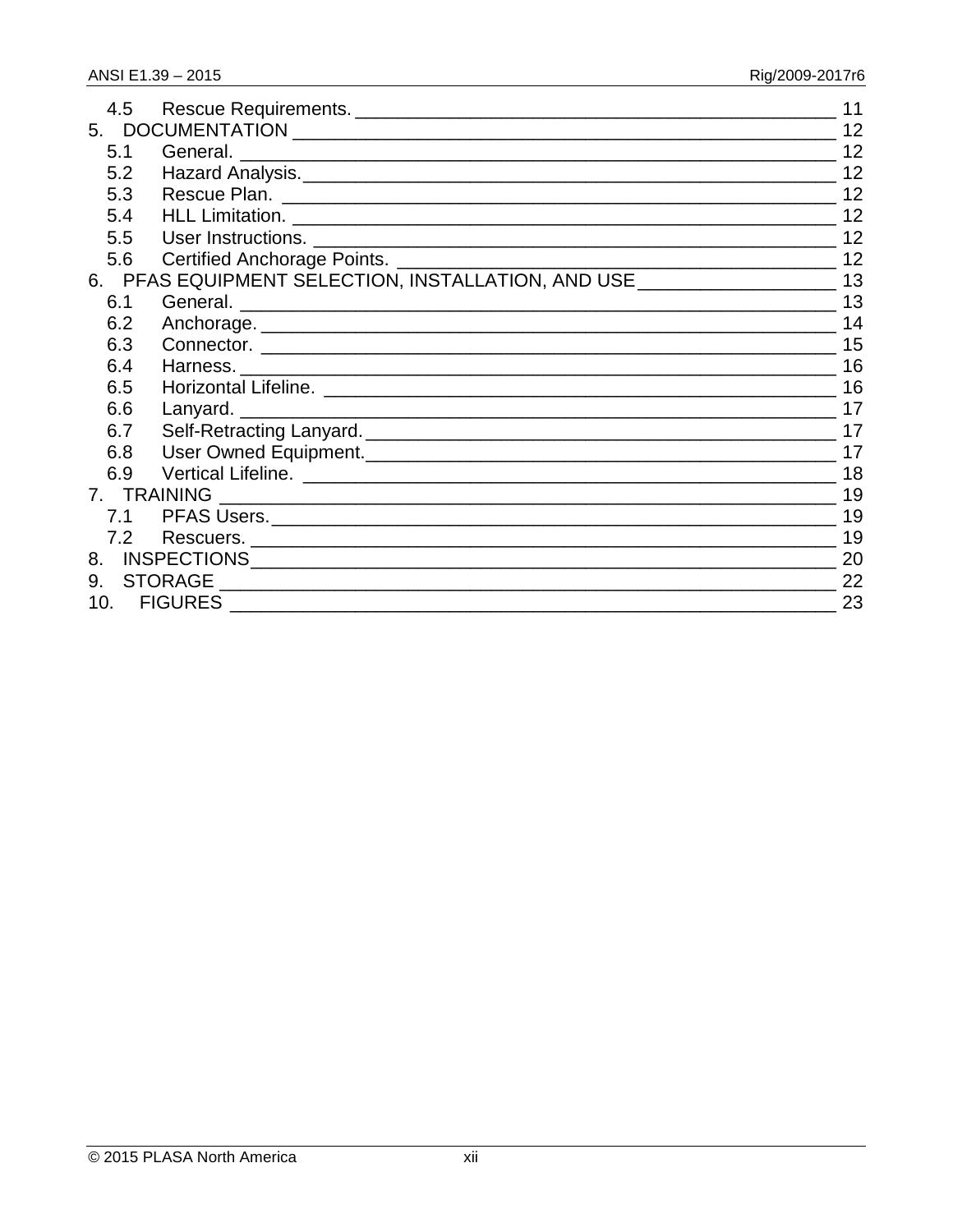| 4.5                                                                                | 11        |  |
|------------------------------------------------------------------------------------|-----------|--|
|                                                                                    |           |  |
| 5.1                                                                                | 12        |  |
| 5.2                                                                                | 12        |  |
| 5.3                                                                                | 12        |  |
| 5.4<br>HLL Limitation.                                                             | 12        |  |
| 5.5                                                                                | 12        |  |
| 5.6                                                                                | 12        |  |
| 6. PFAS EQUIPMENT SELECTION, INSTALLATION, AND USE _____________________________13 |           |  |
| 6.1                                                                                | 13        |  |
| 6.2                                                                                |           |  |
| 6.3                                                                                |           |  |
| 6.4<br>Harness.                                                                    | 16        |  |
| 6.5                                                                                |           |  |
| 6.6                                                                                | $\sim$ 17 |  |
| 6.7                                                                                |           |  |
| 6.8                                                                                | 17        |  |
| 6.9                                                                                | 18        |  |
| 7. TRAINING                                                                        |           |  |
| 7.1                                                                                | 19        |  |
| 7.2                                                                                | 19        |  |
| 8.                                                                                 |           |  |
| <b>STORAGE</b><br>$9^{\circ}$                                                      |           |  |
| 10.                                                                                | 23        |  |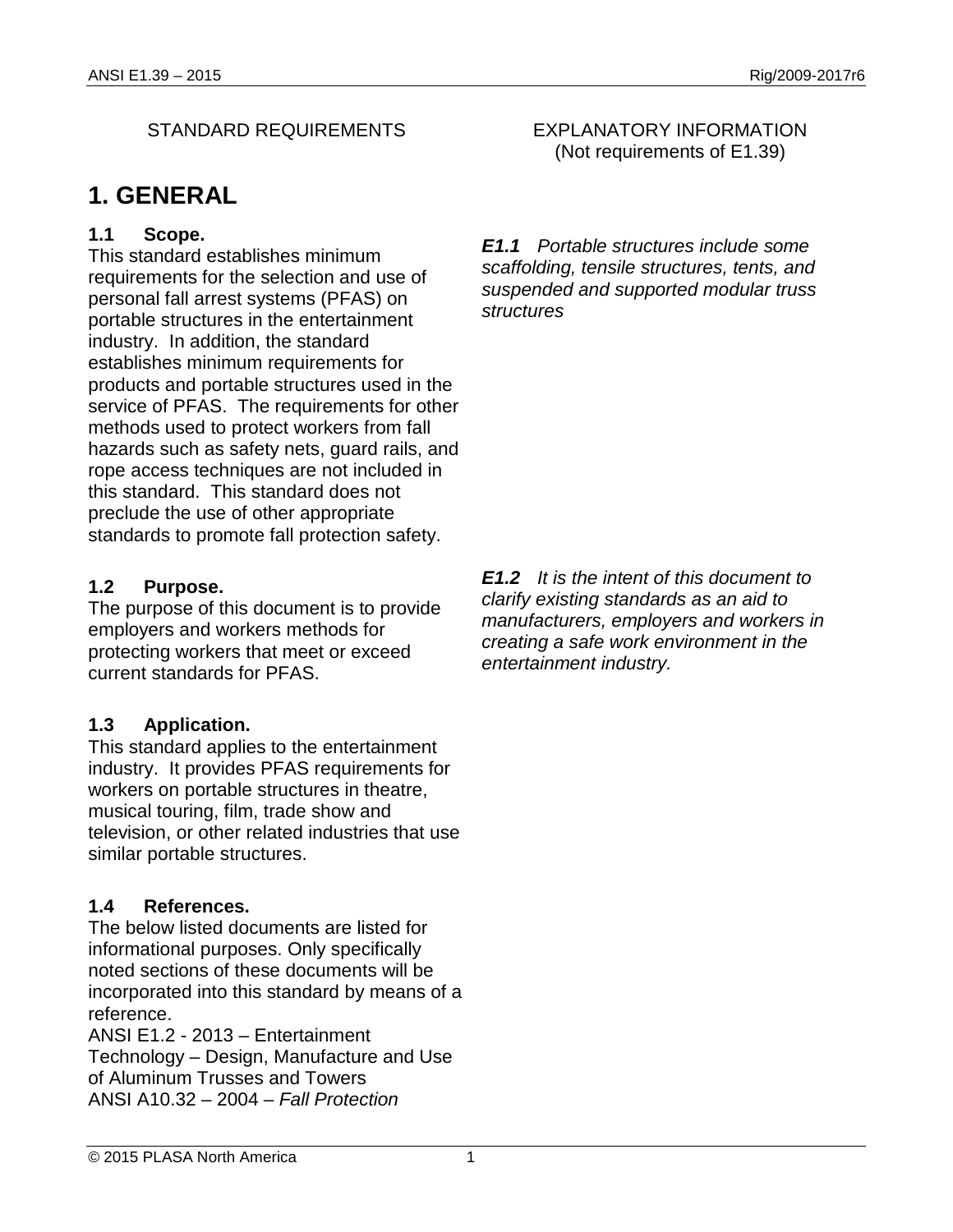# <span id="page-13-0"></span>**1. GENERAL**

# <span id="page-13-1"></span>**1.1 Scope.**

This standard establishes minimum requirements for the selection and use of personal fall arrest systems (PFAS) on portable structures in the entertainment industry. In addition, the standard establishes minimum requirements for products and portable structures used in the service of PFAS. The requirements for other methods used to protect workers from fall hazards such as safety nets, guard rails, and rope access techniques are not included in this standard. This standard does not preclude the use of other appropriate standards to promote fall protection safety.

# <span id="page-13-2"></span>**1.2 Purpose.**

The purpose of this document is to provide employers and workers methods for protecting workers that meet or exceed current standards for PFAS.

# <span id="page-13-3"></span>**1.3 Application.**

This standard applies to the entertainment industry. It provides PFAS requirements for workers on portable structures in theatre, musical touring, film, trade show and television, or other related industries that use similar portable structures.

# <span id="page-13-4"></span>**1.4 References.**

The below listed documents are listed for informational purposes. Only specifically noted sections of these documents will be incorporated into this standard by means of a reference.

ANSI E1.2 - 2013 – Entertainment Technology – Design, Manufacture and Use of Aluminum Trusses and Towers ANSI A10.32 – 2004 – *Fall Protection* 

*E1.2 It is the intent of this document to clarify existing standards as an aid to manufacturers, employers and workers in creating a safe work environment in the entertainment industry.*

STANDARD REQUIREMENTS EXPLANATORY INFORMATION (Not requirements of E1.39)

> *E1.1 Portable structures include some scaffolding, tensile structures, tents, and suspended and supported modular truss structures*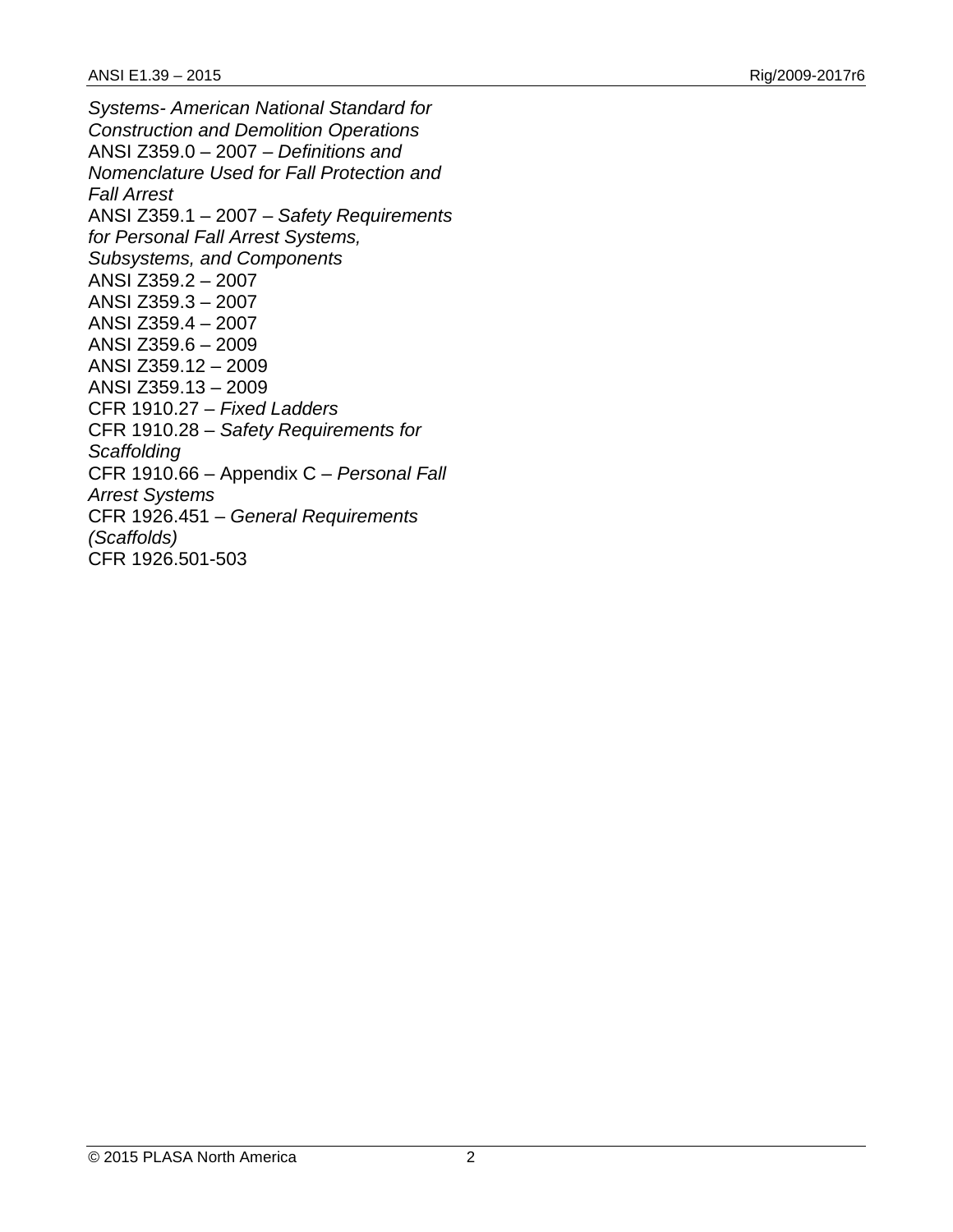*Systems- American National Standard for Construction and Demolition Operations* ANSI Z359.0 – 2007 – *Definitions and Nomenclature Used for Fall Protection and Fall Arrest* ANSI Z359.1 – 2007 – *Safety Requirements for Personal Fall Arrest Systems, Subsystems, and Components* ANSI Z359.2 – 2007 ANSI Z359.3 – 2007 ANSI Z359.4 – 2007 ANSI Z359.6 – 2009 ANSI Z359.12 – 2009 ANSI Z359.13 – 2009 CFR 1910.27 – *Fixed Ladders* CFR 1910.28 – *Safety Requirements for Scaffolding* CFR 1910.66 – Appendix C – *Personal Fall Arrest Systems* CFR 1926.451 – *General Requirements (Scaffolds)* CFR 1926.501-503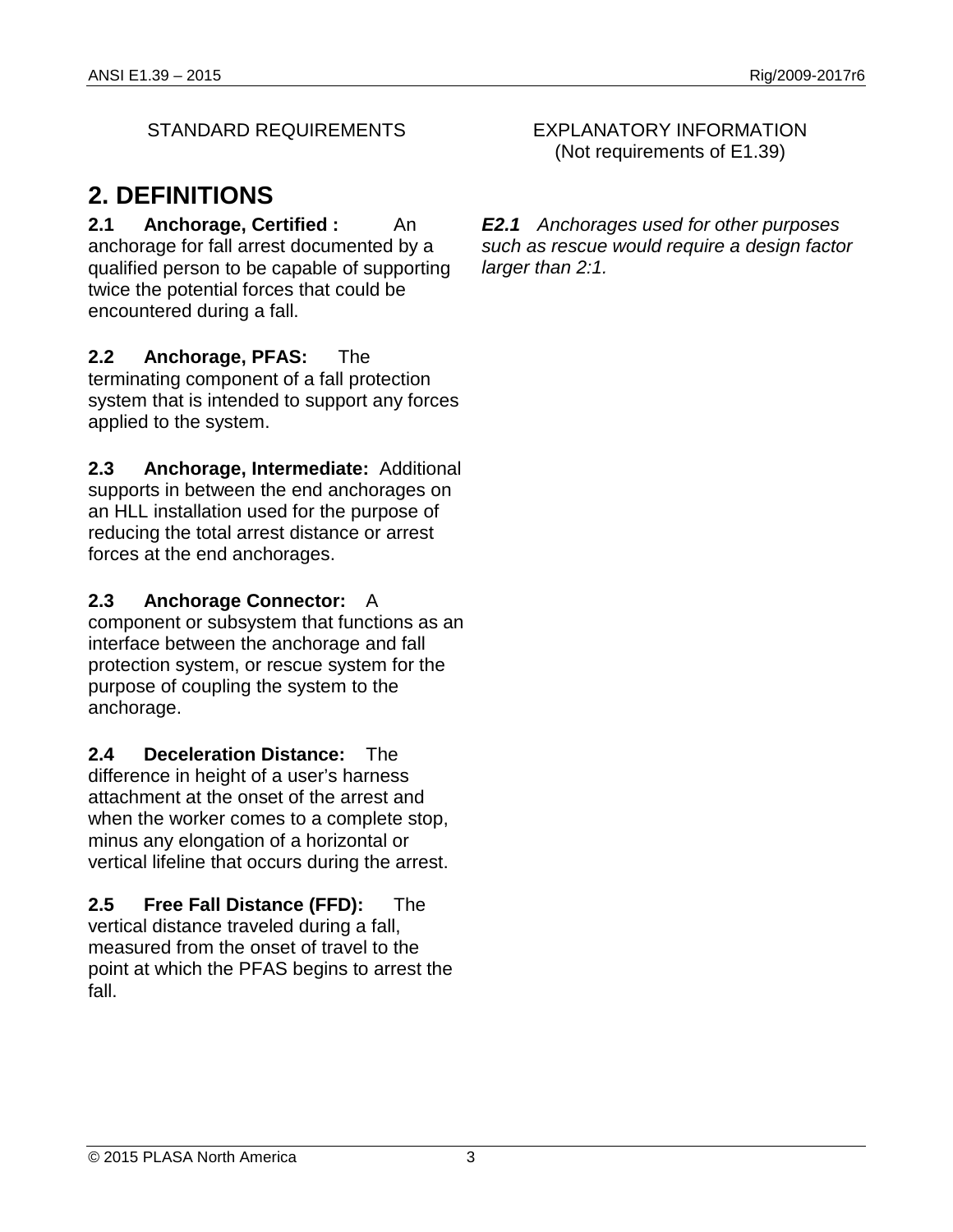# <span id="page-15-0"></span>**2. DEFINITIONS**

<span id="page-15-1"></span>**2.1 Anchorage, Certified :** An anchorage for fall arrest documented by a qualified person to be capable of supporting twice the potential forces that could be encountered during a fall.

# <span id="page-15-2"></span>**2.2 Anchorage, PFAS:** The

terminating component of a fall protection system that is intended to support any forces applied to the system.

<span id="page-15-3"></span>**2.3 Anchorage, Intermediate:** Additional supports in between the end anchorages on an HLL installation used for the purpose of reducing the total arrest distance or arrest forces at the end anchorages.

# <span id="page-15-4"></span>**2.3 Anchorage Connector:** A

component or subsystem that functions as an interface between the anchorage and fall protection system, or rescue system for the purpose of coupling the system to the anchorage.

<span id="page-15-5"></span>**2.4 Deceleration Distance:** The difference in height of a user's harness attachment at the onset of the arrest and when the worker comes to a complete stop, minus any elongation of a horizontal or vertical lifeline that occurs during the arrest.

<span id="page-15-6"></span>**2.5 Free Fall Distance (FFD):** The vertical distance traveled during a fall, measured from the onset of travel to the point at which the PFAS begins to arrest the fall.

STANDARD REQUIREMENTS EXPLANATORY INFORMATION (Not requirements of E1.39)

> *E2.1 Anchorages used for other purposes such as rescue would require a design factor larger than 2:1.*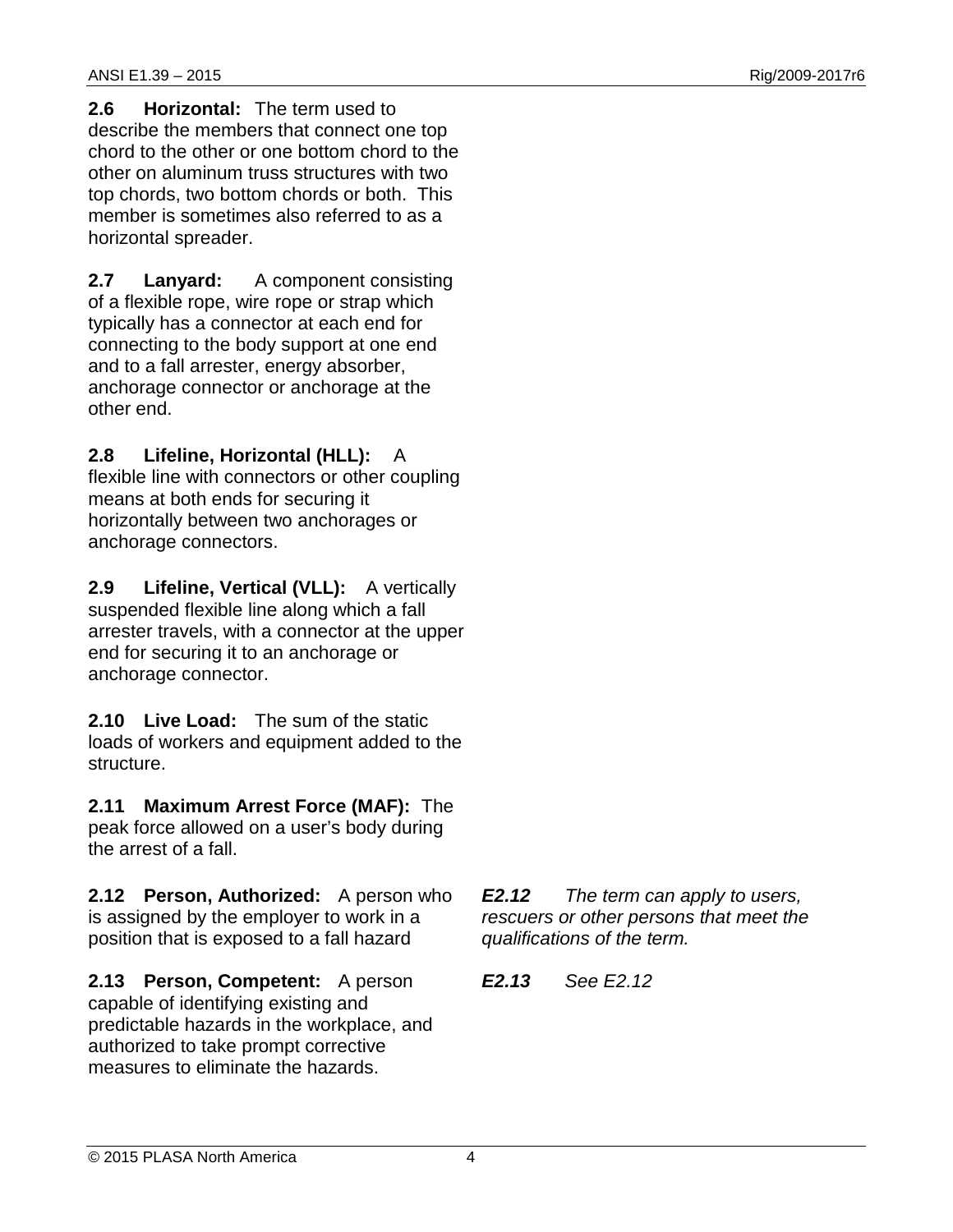<span id="page-16-0"></span>**2.6 Horizontal:** The term used to describe the members that connect one top chord to the other or one bottom chord to the other on aluminum truss structures with two top chords, two bottom chords or both. This member is sometimes also referred to as a horizontal spreader.

<span id="page-16-1"></span>**2.7 Lanyard:** A component consisting of a flexible rope, wire rope or strap which typically has a connector at each end for connecting to the body support at one end and to a fall arrester, energy absorber, anchorage connector or anchorage at the other end.

<span id="page-16-2"></span>**2.8 Lifeline, Horizontal (HLL):** A flexible line with connectors or other coupling means at both ends for securing it horizontally between two anchorages or

anchorage connectors.

<span id="page-16-3"></span>**2.9 Lifeline, Vertical (VLL):** A vertically suspended flexible line along which a fall arrester travels, with a connector at the upper end for securing it to an anchorage or anchorage connector.

<span id="page-16-4"></span>**2.10 Live Load:** The sum of the static loads of workers and equipment added to the structure.

<span id="page-16-5"></span>**2.11 Maximum Arrest Force (MAF):** The peak force allowed on a user's body during the arrest of a fall.

<span id="page-16-6"></span>**2.12 Person, Authorized:** A person who is assigned by the employer to work in a position that is exposed to a fall hazard

<span id="page-16-7"></span>**2.13 Person, Competent:** A person capable of identifying existing and predictable hazards in the workplace, and authorized to take prompt corrective measures to eliminate the hazards.

*E2.12 The term can apply to users, rescuers or other persons that meet the qualifications of the term.*

*E2.13 See E2.12*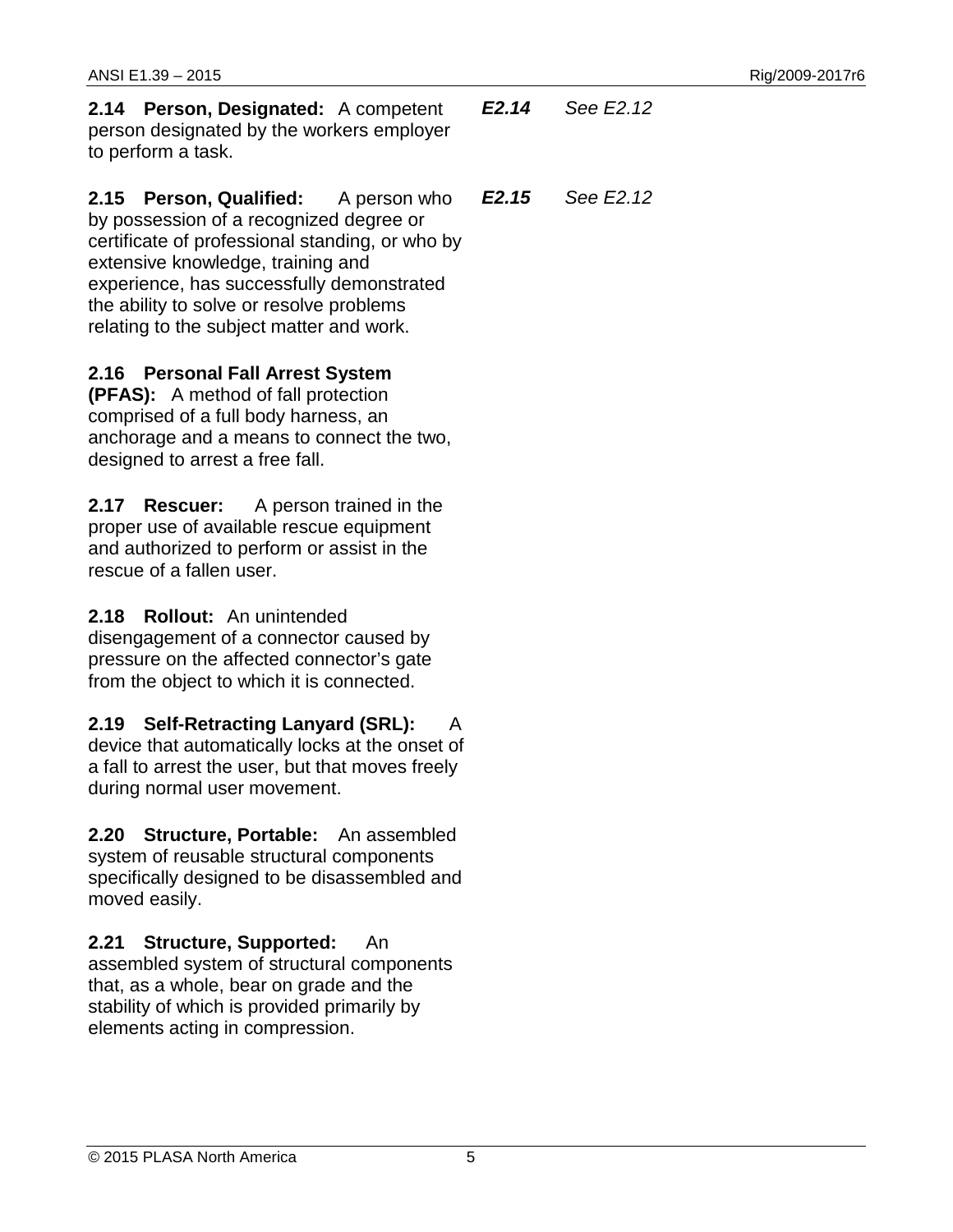<span id="page-17-0"></span>**2.14 Person, Designated:** A competent person designated by the workers employer to perform a task.

<span id="page-17-1"></span>**2.15 Person, Qualified:** A person who by possession of a recognized degree or certificate of professional standing, or who by extensive knowledge, training and experience, has successfully demonstrated the ability to solve or resolve problems relating to the subject matter and work.

#### <span id="page-17-2"></span>**2.16 Personal Fall Arrest System**

**(PFAS):** A method of fall protection comprised of a full body harness, an anchorage and a means to connect the two, designed to arrest a free fall.

<span id="page-17-3"></span>**2.17 Rescuer:** A person trained in the proper use of available rescue equipment and authorized to perform or assist in the rescue of a fallen user.

#### <span id="page-17-4"></span>**2.18 Rollout:** An unintended

disengagement of a connector caused by pressure on the affected connector's gate from the object to which it is connected.

# <span id="page-17-5"></span>**2.19 Self-Retracting Lanyard (SRL):** A

device that automatically locks at the onset of a fall to arrest the user, but that moves freely during normal user movement.

<span id="page-17-6"></span>**2.20 Structure, Portable:** An assembled system of reusable structural components specifically designed to be disassembled and moved easily.

<span id="page-17-7"></span>**2.21 Structure, Supported:** An assembled system of structural components that, as a whole, bear on grade and the stability of which is provided primarily by elements acting in compression.

*E2.15 See E2.12*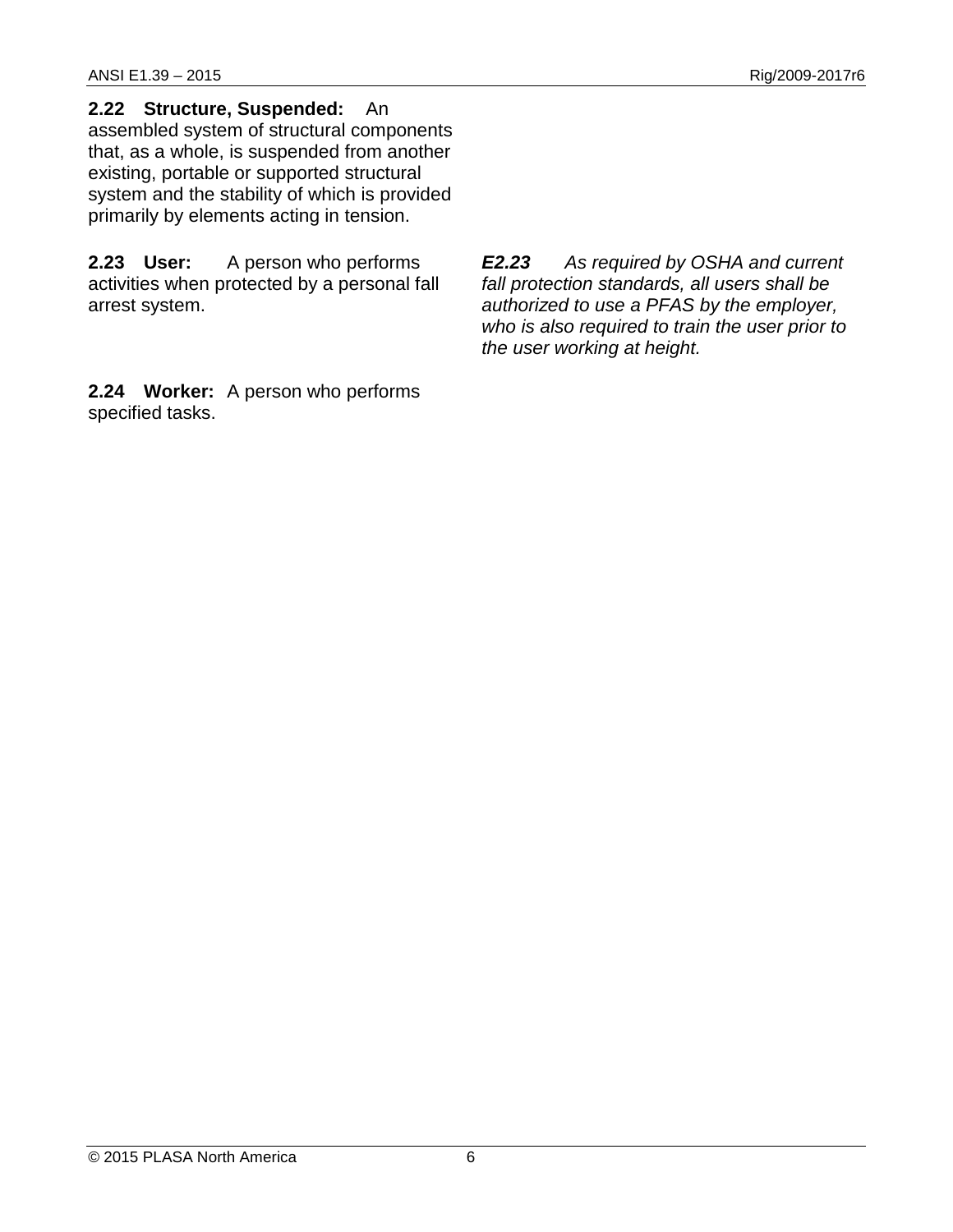## <span id="page-18-0"></span>**2.22 Structure, Suspended:** An

assembled system of structural components that, as a whole, is suspended from another existing, portable or supported structural system and the stability of which is provided primarily by elements acting in tension.

<span id="page-18-1"></span>**2.23 User:** A person who performs activities when protected by a personal fall arrest system.

*E2.23 As required by OSHA and current fall protection standards, all users shall be authorized to use a PFAS by the employer, who is also required to train the user prior to the user working at height.*

<span id="page-18-2"></span>**2.24 Worker:** A person who performs specified tasks.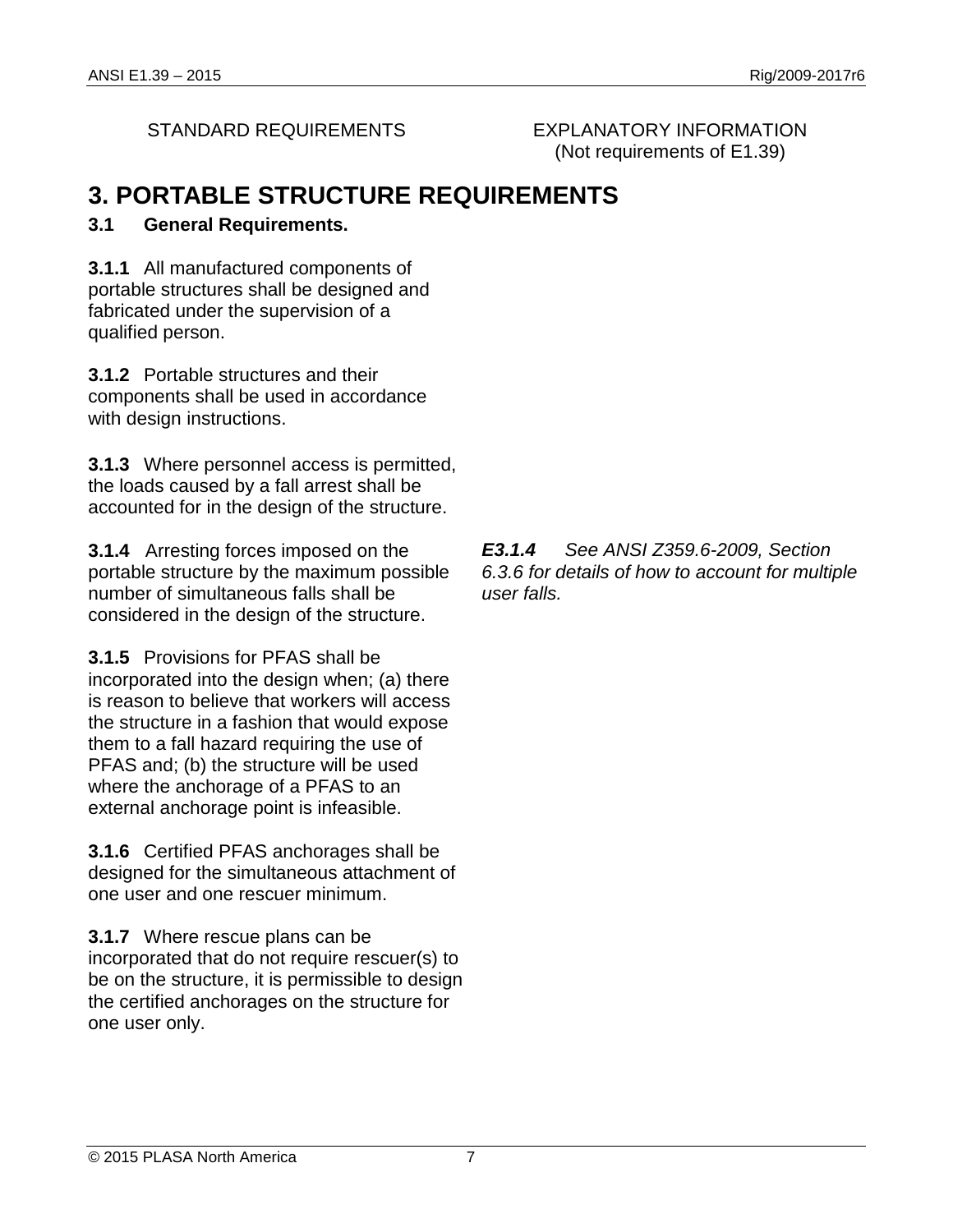STANDARD REQUIREMENTS EXPLANATORY INFORMATION (Not requirements of E1.39)

# <span id="page-19-0"></span>**3. PORTABLE STRUCTURE REQUIREMENTS**

# <span id="page-19-1"></span>**3.1 General Requirements.**

**3.1.1** All manufactured components of portable structures shall be designed and fabricated under the supervision of a qualified person.

**3.1.2** Portable structures and their components shall be used in accordance with design instructions.

**3.1.3** Where personnel access is permitted, the loads caused by a fall arrest shall be accounted for in the design of the structure.

**3.1.4** Arresting forces imposed on the portable structure by the maximum possible number of simultaneous falls shall be considered in the design of the structure.

**3.1.5** Provisions for PFAS shall be incorporated into the design when; (a) there is reason to believe that workers will access the structure in a fashion that would expose them to a fall hazard requiring the use of PFAS and; (b) the structure will be used where the anchorage of a PFAS to an external anchorage point is infeasible.

**3.1.6** Certified PFAS anchorages shall be designed for the simultaneous attachment of one user and one rescuer minimum.

**3.1.7** Where rescue plans can be incorporated that do not require rescuer(s) to be on the structure, it is permissible to design the certified anchorages on the structure for one user only.

*E3.1.4 See ANSI Z359.6-2009, Section 6.3.6 for details of how to account for multiple user falls.*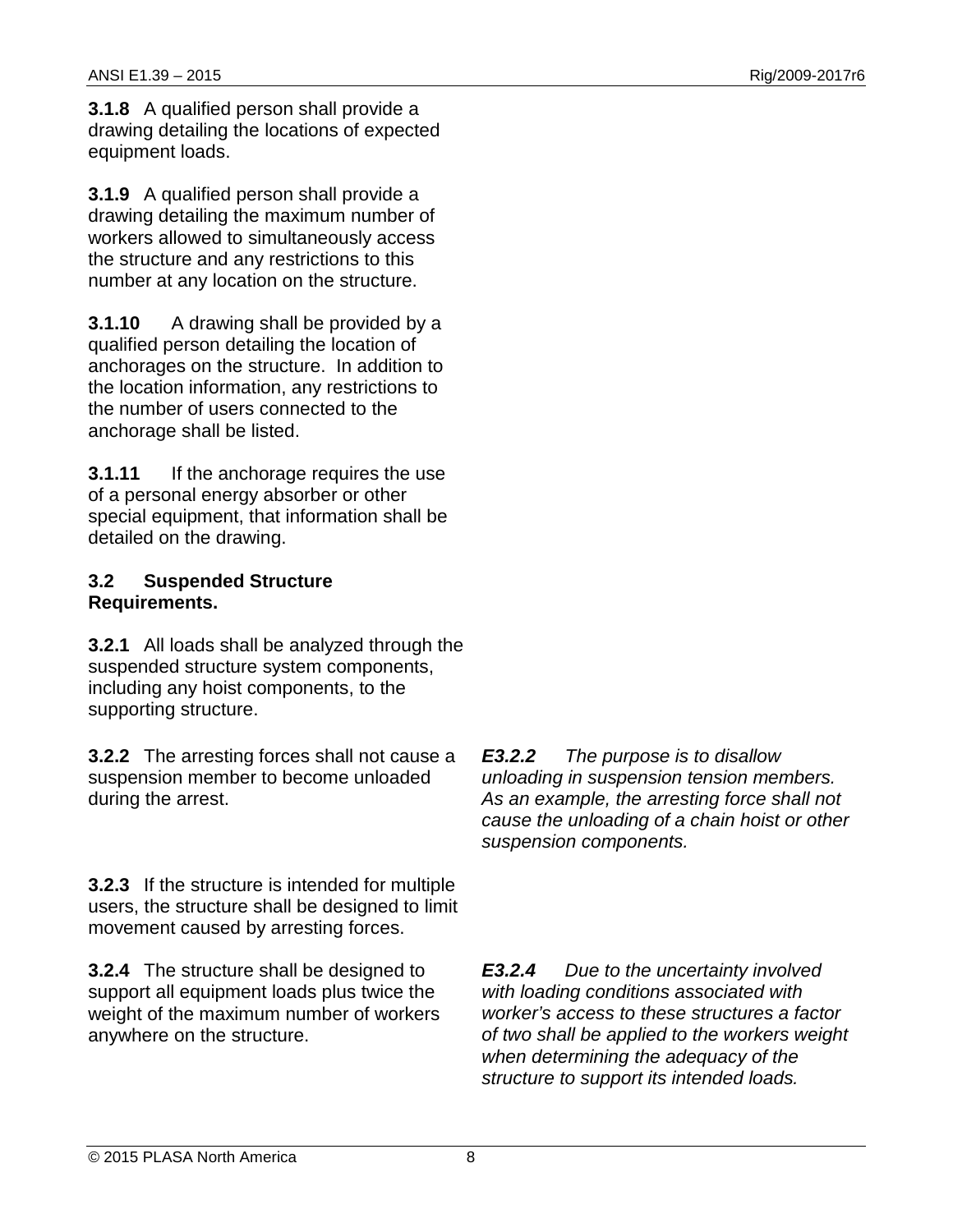**3.1.8** A qualified person shall provide a drawing detailing the locations of expected equipment loads.

**3.1.9** A qualified person shall provide a drawing detailing the maximum number of workers allowed to simultaneously access the structure and any restrictions to this number at any location on the structure.

**3.1.10** A drawing shall be provided by a qualified person detailing the location of anchorages on the structure. In addition to the location information, any restrictions to the number of users connected to the anchorage shall be listed.

**3.1.11** If the anchorage requires the use of a personal energy absorber or other special equipment, that information shall be detailed on the drawing.

## <span id="page-20-0"></span>**3.2 Suspended Structure Requirements.**

**3.2.1** All loads shall be analyzed through the suspended structure system components, including any hoist components, to the supporting structure.

**3.2.2** The arresting forces shall not cause a suspension member to become unloaded during the arrest.

**3.2.3** If the structure is intended for multiple users, the structure shall be designed to limit movement caused by arresting forces.

**3.2.4** The structure shall be designed to support all equipment loads plus twice the weight of the maximum number of workers anywhere on the structure.

*E3.2.2 The purpose is to disallow unloading in suspension tension members. As an example, the arresting force shall not cause the unloading of a chain hoist or other suspension components.*

*E3.2.4 Due to the uncertainty involved with loading conditions associated with worker's access to these structures a factor of two shall be applied to the workers weight when determining the adequacy of the structure to support its intended loads.*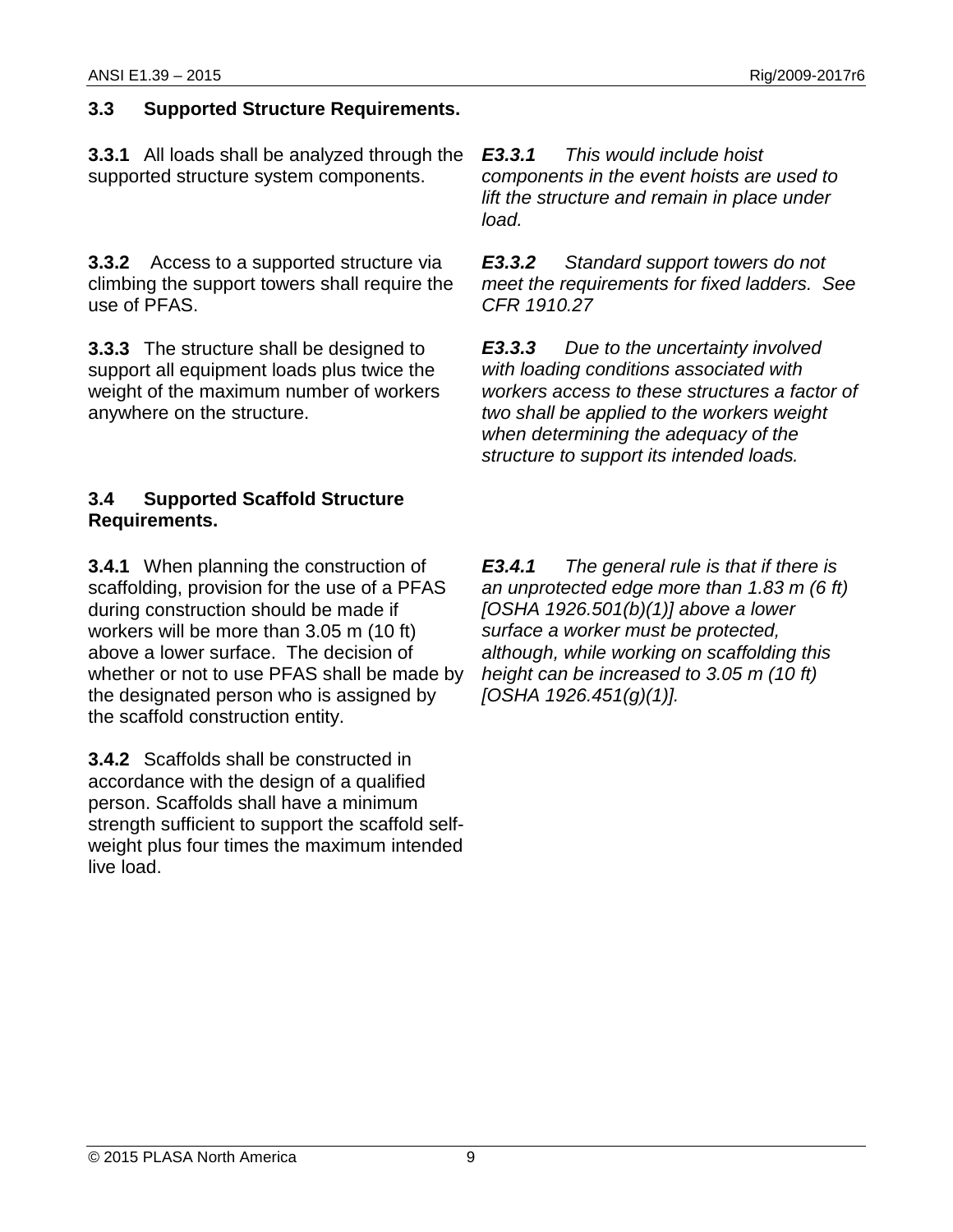# <span id="page-21-0"></span>**3.3 Supported Structure Requirements.**

**3.3.1** All loads shall be analyzed through the supported structure system components.

**3.3.2** Access to a supported structure via climbing the support towers shall require the use of PFAS.

**3.3.3** The structure shall be designed to support all equipment loads plus twice the weight of the maximum number of workers anywhere on the structure.

# <span id="page-21-1"></span>**3.4 Supported Scaffold Structure Requirements.**

**3.4.1** When planning the construction of scaffolding, provision for the use of a PFAS during construction should be made if workers will be more than 3.05 m (10 ft) above a lower surface. The decision of whether or not to use PFAS shall be made by the designated person who is assigned by the scaffold construction entity.

**3.4.2** Scaffolds shall be constructed in accordance with the design of a qualified person. Scaffolds shall have a minimum strength sufficient to support the scaffold selfweight plus four times the maximum intended live load.

*E3.3.1 This would include hoist components in the event hoists are used to lift the structure and remain in place under load.*

*E3.3.2 Standard support towers do not meet the requirements for fixed ladders. See CFR 1910.27*

*E3.3.3 Due to the uncertainty involved with loading conditions associated with workers access to these structures a factor of two shall be applied to the workers weight when determining the adequacy of the structure to support its intended loads.*

*E3.4.1 The general rule is that if there is an unprotected edge more than 1.83 m (6 ft) [OSHA 1926.501(b)(1)] above a lower surface a worker must be protected, although, while working on scaffolding this height can be increased to 3.05 m (10 ft) [OSHA 1926.451(g)(1)].*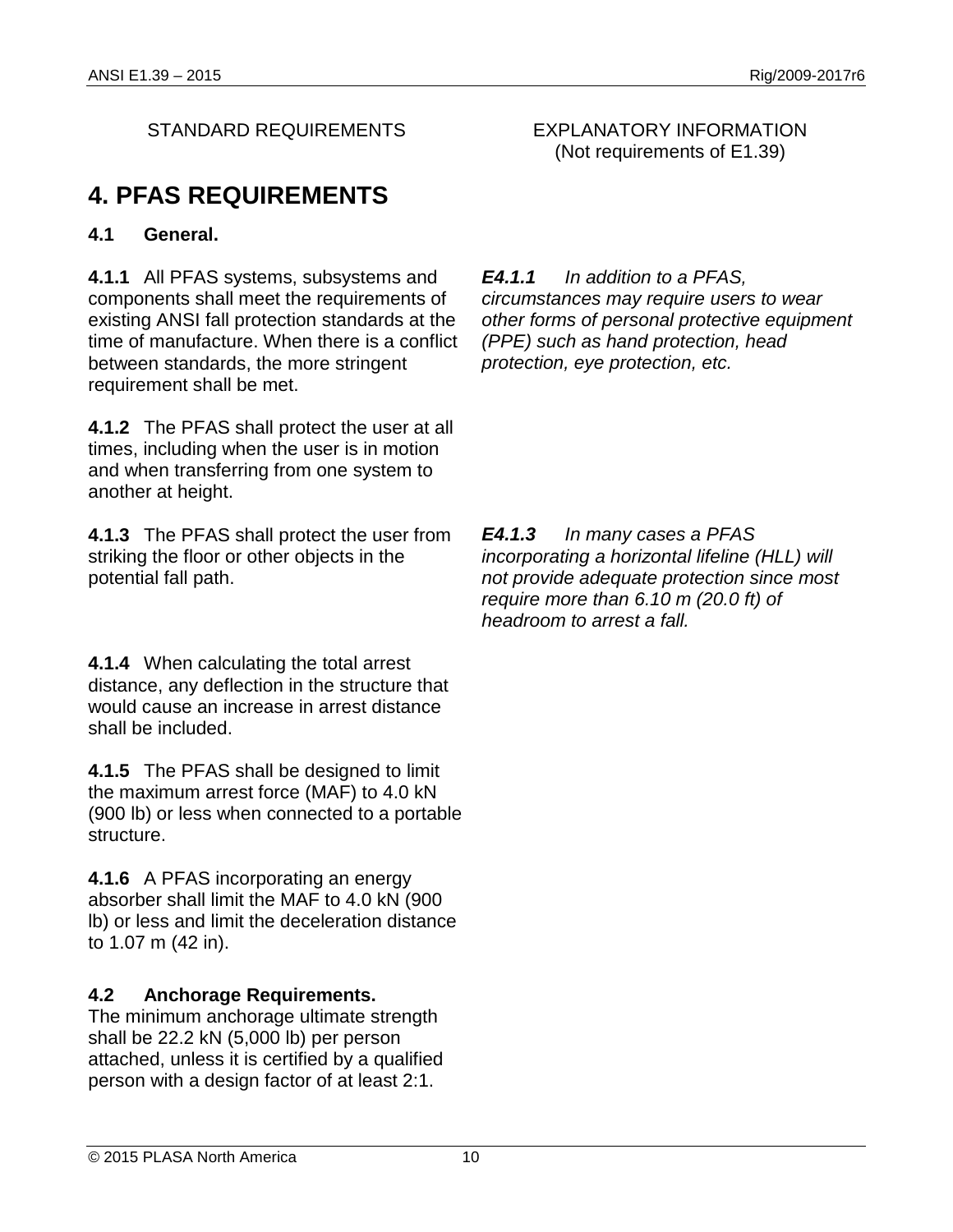# <span id="page-22-0"></span>**4. PFAS REQUIREMENTS**

# <span id="page-22-1"></span>**4.1 General.**

**4.1.1** All PFAS systems, subsystems and components shall meet the requirements of existing ANSI fall protection standards at the time of manufacture. When there is a conflict between standards, the more stringent requirement shall be met.

**4.1.2** The PFAS shall protect the user at all times, including when the user is in motion and when transferring from one system to another at height.

**4.1.3** The PFAS shall protect the user from striking the floor or other objects in the potential fall path.

**4.1.4** When calculating the total arrest distance, any deflection in the structure that would cause an increase in arrest distance shall be included.

**4.1.5** The PFAS shall be designed to limit the maximum arrest force (MAF) to 4.0 kN (900 lb) or less when connected to a portable structure.

**4.1.6** A PFAS incorporating an energy absorber shall limit the MAF to 4.0 kN (900 lb) or less and limit the deceleration distance to 1.07 m (42 in).

# <span id="page-22-2"></span>**4.2 Anchorage Requirements.**

The minimum anchorage ultimate strength shall be 22.2 kN (5,000 lb) per person attached, unless it is certified by a qualified person with a design factor of at least 2:1.

STANDARD REQUIREMENTS EXPLANATORY INFORMATION (Not requirements of E1.39)

#### *E4.1.1 In addition to a PFAS, circumstances may require users to wear other forms of personal protective equipment (PPE) such as hand protection, head protection, eye protection, etc.*

*E4.1.3 In many cases a PFAS incorporating a horizontal lifeline (HLL) will not provide adequate protection since most require more than 6.10 m (20.0 ft) of headroom to arrest a fall.*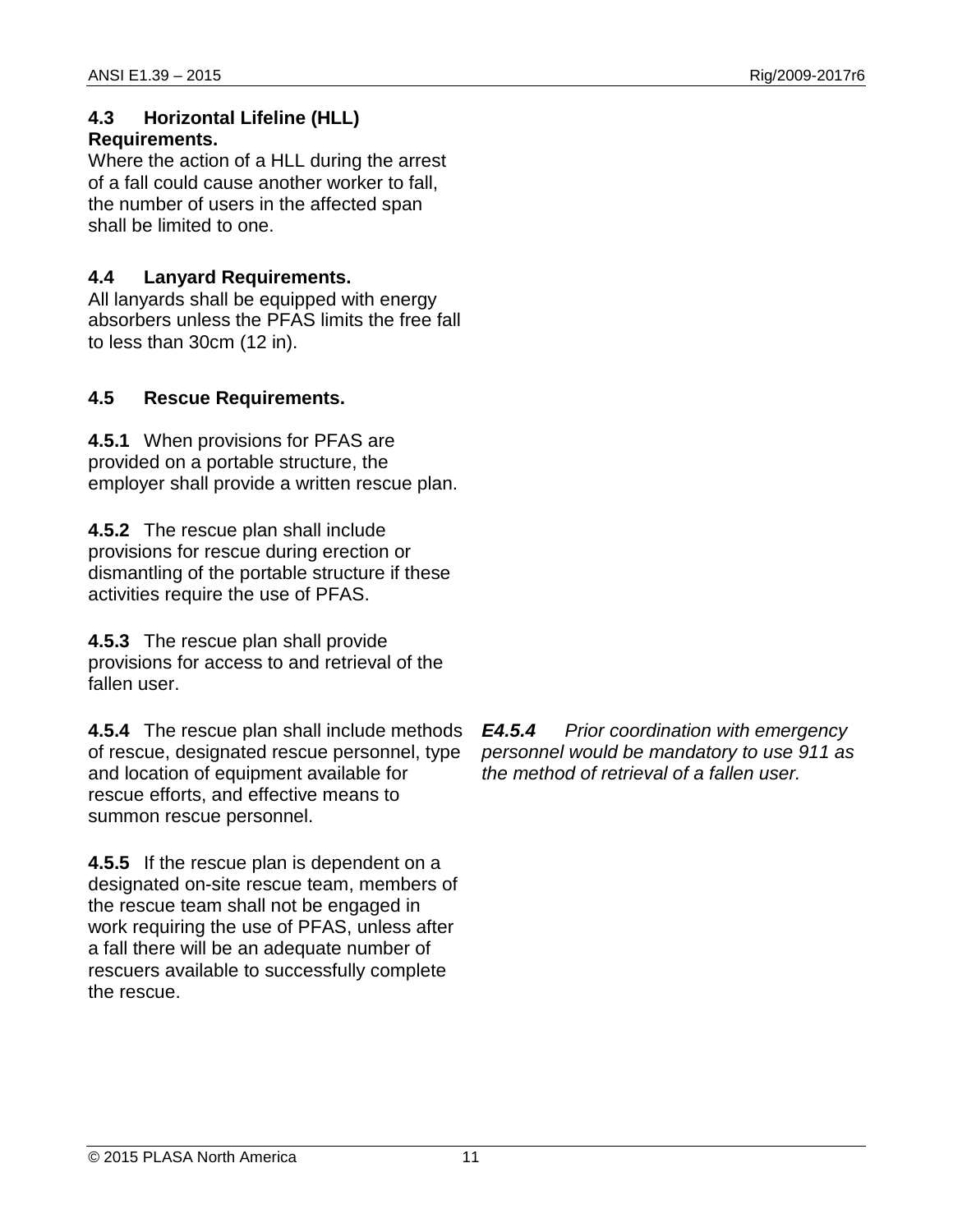# <span id="page-23-0"></span>**4.3 Horizontal Lifeline (HLL) Requirements.**

Where the action of a HLL during the arrest of a fall could cause another worker to fall, the number of users in the affected span shall be limited to one.

# <span id="page-23-1"></span>**4.4 Lanyard Requirements.**

All lanyards shall be equipped with energy absorbers unless the PFAS limits the free fall to less than 30cm (12 in).

# <span id="page-23-2"></span>**4.5 Rescue Requirements.**

**4.5.1** When provisions for PFAS are provided on a portable structure, the employer shall provide a written rescue plan.

**4.5.2** The rescue plan shall include provisions for rescue during erection or dismantling of the portable structure if these activities require the use of PFAS.

**4.5.3** The rescue plan shall provide provisions for access to and retrieval of the fallen user.

**4.5.4** The rescue plan shall include methods of rescue, designated rescue personnel, type and location of equipment available for rescue efforts, and effective means to summon rescue personnel.

**4.5.5** If the rescue plan is dependent on a designated on-site rescue team, members of the rescue team shall not be engaged in work requiring the use of PFAS, unless after a fall there will be an adequate number of rescuers available to successfully complete the rescue.

*E4.5.4 Prior coordination with emergency personnel would be mandatory to use 911 as the method of retrieval of a fallen user.*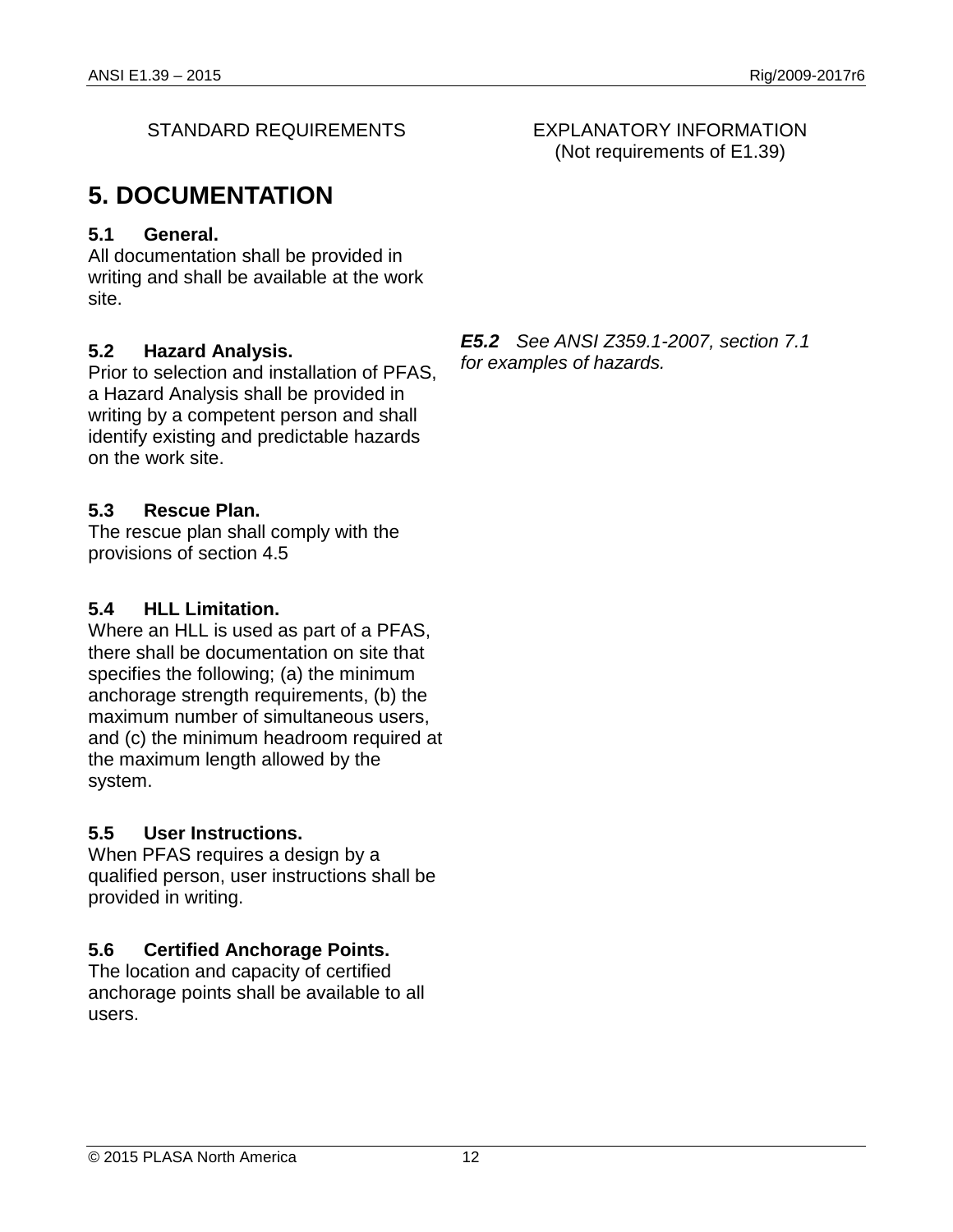# <span id="page-24-0"></span>**5. DOCUMENTATION**

### <span id="page-24-1"></span>**5.1 General.**

All documentation shall be provided in writing and shall be available at the work site.

## <span id="page-24-2"></span>**5.2 Hazard Analysis.**

Prior to selection and installation of PFAS, a Hazard Analysis shall be provided in writing by a competent person and shall identify existing and predictable hazards on the work site.

## <span id="page-24-3"></span>**5.3 Rescue Plan.**

The rescue plan shall comply with the provisions of section 4.5

# <span id="page-24-4"></span>**5.4 HLL Limitation.**

Where an HLL is used as part of a PFAS, there shall be documentation on site that specifies the following; (a) the minimum anchorage strength requirements, (b) the maximum number of simultaneous users, and (c) the minimum headroom required at the maximum length allowed by the system.

# <span id="page-24-5"></span>**5.5 User Instructions.**

When PFAS requires a design by a qualified person, user instructions shall be provided in writing.

# <span id="page-24-6"></span>**5.6 Certified Anchorage Points.**

The location and capacity of certified anchorage points shall be available to all users.

STANDARD REQUIREMENTS EXPLANATORY INFORMATION (Not requirements of E1.39)

> *E5.2 See ANSI Z359.1-2007, section 7.1 for examples of hazards.*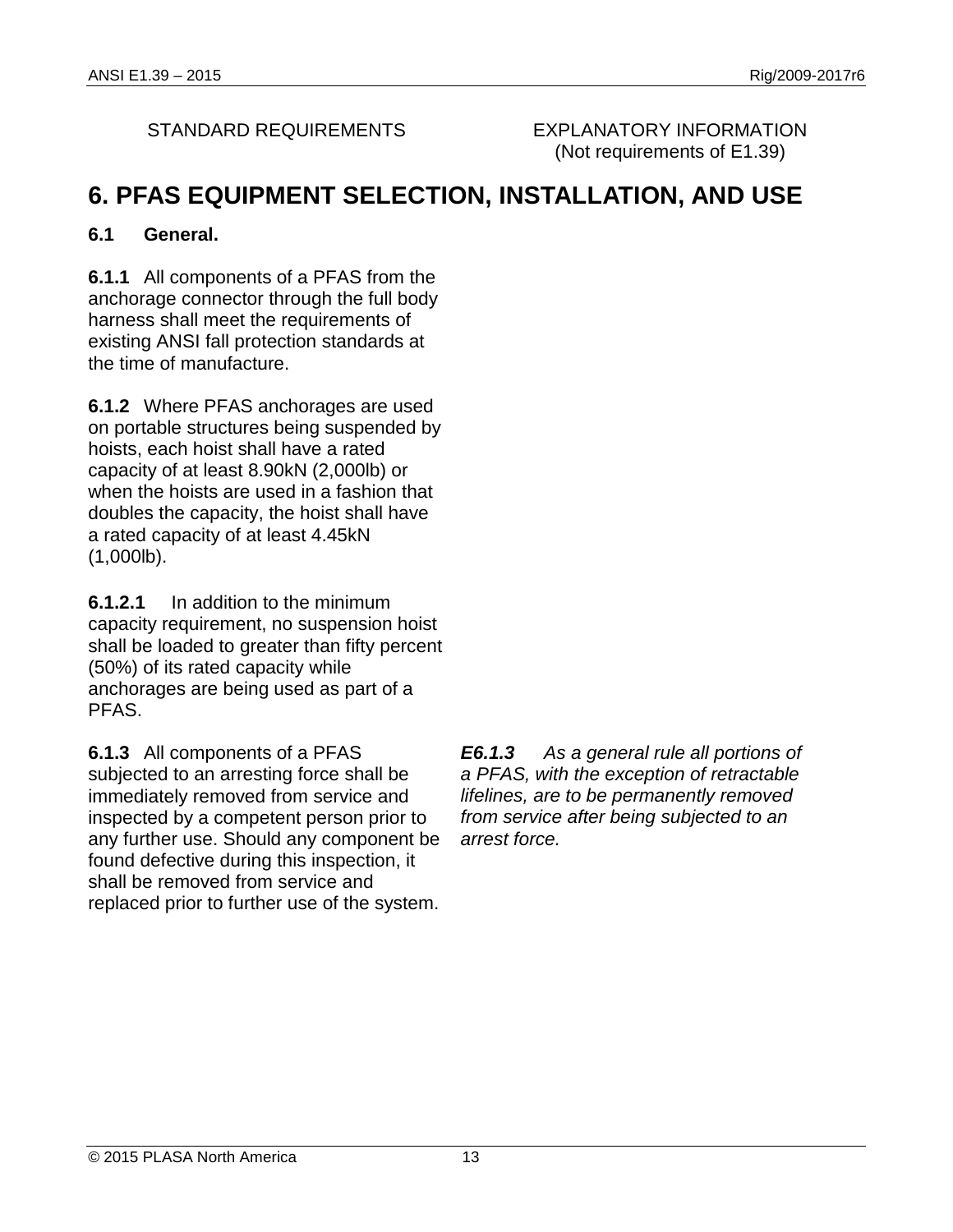STANDARD REQUIREMENTS EXPLANATORY INFORMATION (Not requirements of E1.39)

# <span id="page-25-0"></span>**6. PFAS EQUIPMENT SELECTION, INSTALLATION, AND USE**

# <span id="page-25-1"></span>**6.1 General.**

**6.1.1** All components of a PFAS from the anchorage connector through the full body harness shall meet the requirements of existing ANSI fall protection standards at the time of manufacture.

**6.1.2** Where PFAS anchorages are used on portable structures being suspended by hoists, each hoist shall have a rated capacity of at least 8.90kN (2,000lb) or when the hoists are used in a fashion that doubles the capacity, the hoist shall have a rated capacity of at least 4.45kN (1,000lb).

**6.1.2.1** In addition to the minimum capacity requirement, no suspension hoist shall be loaded to greater than fifty percent (50%) of its rated capacity while anchorages are being used as part of a PFAS.

**6.1.3** All components of a PFAS subjected to an arresting force shall be immediately removed from service and inspected by a competent person prior to any further use. Should any component be found defective during this inspection, it shall be removed from service and replaced prior to further use of the system.

*E6.1.3 As a general rule all portions of a PFAS, with the exception of retractable lifelines, are to be permanently removed from service after being subjected to an arrest force.*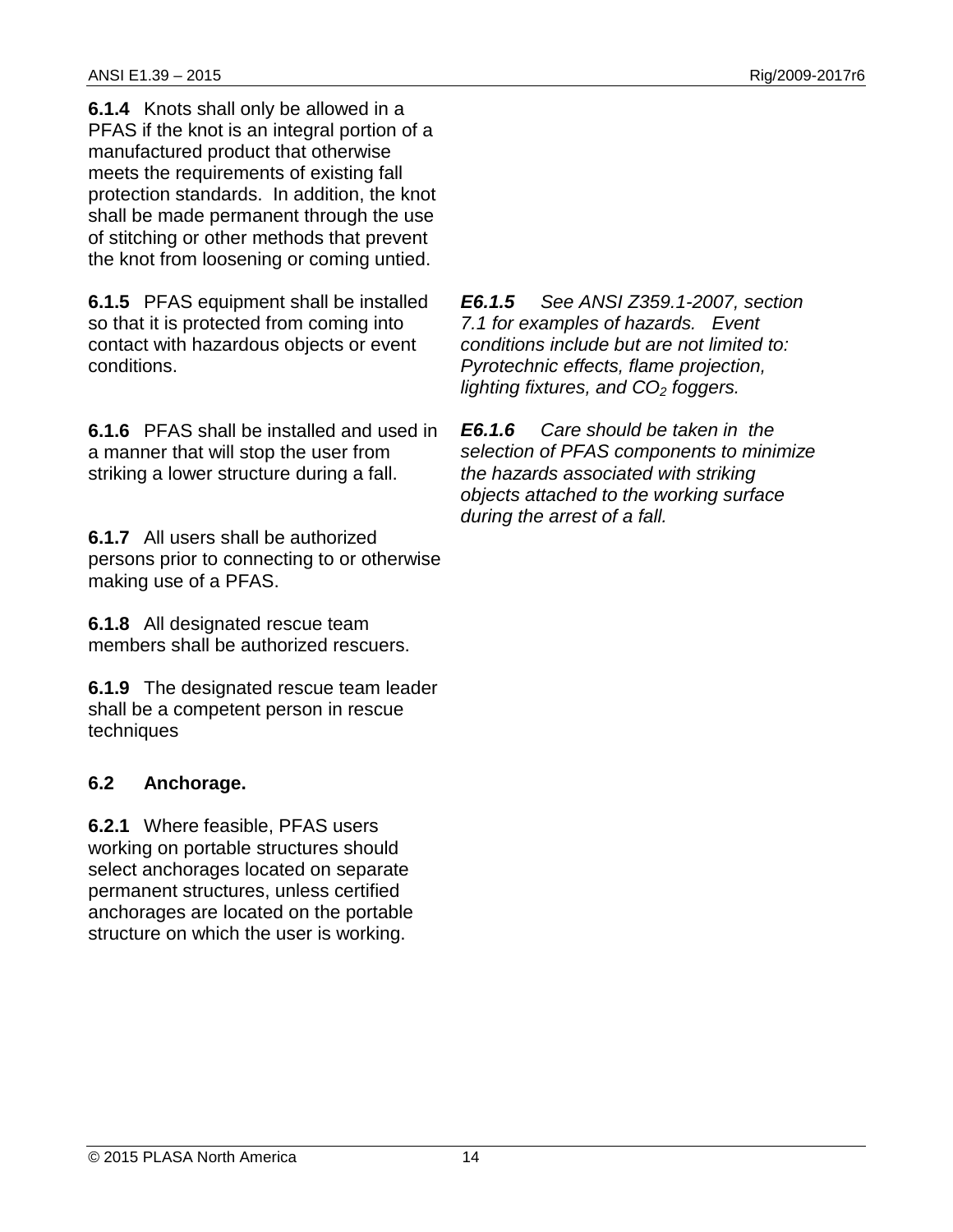**6.1.4** Knots shall only be allowed in a PFAS if the knot is an integral portion of a manufactured product that otherwise meets the requirements of existing fall protection standards. In addition, the knot shall be made permanent through the use of stitching or other methods that prevent the knot from loosening or coming untied.

**6.1.5** PFAS equipment shall be installed so that it is protected from coming into contact with hazardous objects or event conditions.

**6.1.6** PFAS shall be installed and used in a manner that will stop the user from striking a lower structure during a fall.

**6.1.7** All users shall be authorized persons prior to connecting to or otherwise making use of a PFAS.

**6.1.8** All designated rescue team members shall be authorized rescuers.

**6.1.9** The designated rescue team leader shall be a competent person in rescue techniques

# <span id="page-26-0"></span>**6.2 Anchorage.**

**6.2.1** Where feasible, PFAS users working on portable structures should select anchorages located on separate permanent structures, unless certified anchorages are located on the portable structure on which the user is working.

*E6.1.5 See ANSI Z359.1-2007, section 7.1 for examples of hazards. Event conditions include but are not limited to: Pyrotechnic effects, flame projection, lighting fixtures, and CO2 foggers.* 

*E6.1.6 Care should be taken in the selection of PFAS components to minimize the hazards associated with striking objects attached to the working surface during the arrest of a fall.*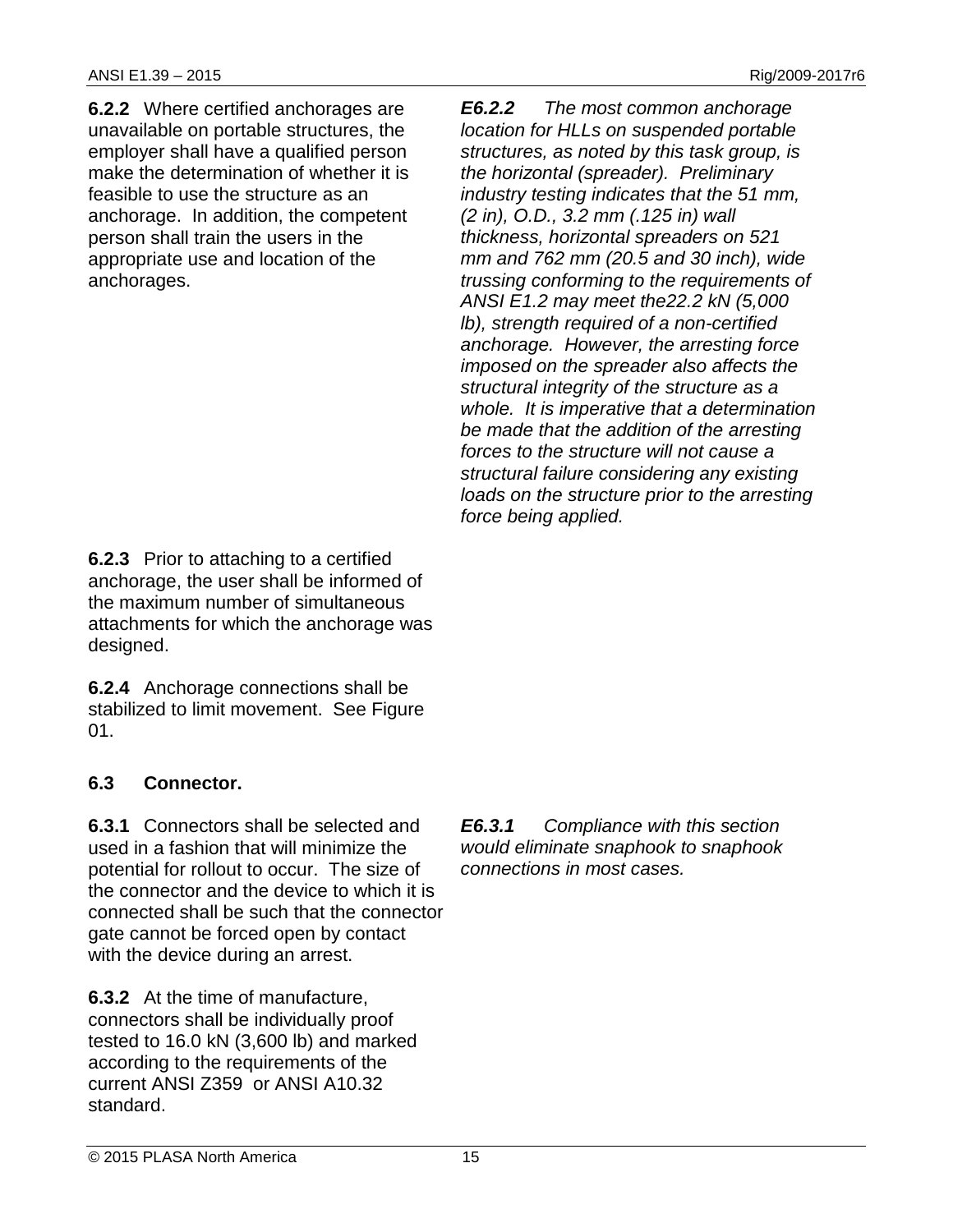**6.2.2** Where certified anchorages are unavailable on portable structures, the employer shall have a qualified person make the determination of whether it is feasible to use the structure as an anchorage. In addition, the competent person shall train the users in the appropriate use and location of the anchorages.

*E6.2.2 The most common anchorage location for HLLs on suspended portable structures, as noted by this task group, is the horizontal (spreader). Preliminary industry testing indicates that the 51 mm, (2 in), O.D., 3.2 mm (.125 in) wall thickness, horizontal spreaders on 521 mm and 762 mm (20.5 and 30 inch), wide trussing conforming to the requirements of ANSI E1.2 may meet the22.2 kN (5,000 lb), strength required of a non-certified anchorage. However, the arresting force imposed on the spreader also affects the structural integrity of the structure as a whole. It is imperative that a determination be made that the addition of the arresting forces to the structure will not cause a structural failure considering any existing loads on the structure prior to the arresting force being applied.*

**6.2.3** Prior to attaching to a certified anchorage, the user shall be informed of the maximum number of simultaneous attachments for which the anchorage was designed.

**6.2.4** Anchorage connections shall be stabilized to limit movement. See Figure 01.

# <span id="page-27-0"></span>**6.3 Connector.**

**6.3.1** Connectors shall be selected and used in a fashion that will minimize the potential for rollout to occur. The size of the connector and the device to which it is connected shall be such that the connector gate cannot be forced open by contact with the device during an arrest.

**6.3.2** At the time of manufacture, connectors shall be individually proof tested to 16.0 kN (3,600 lb) and marked according to the requirements of the current ANSI Z359 or ANSI A10.32 standard.

*E6.3.1 Compliance with this section would eliminate snaphook to snaphook connections in most cases.*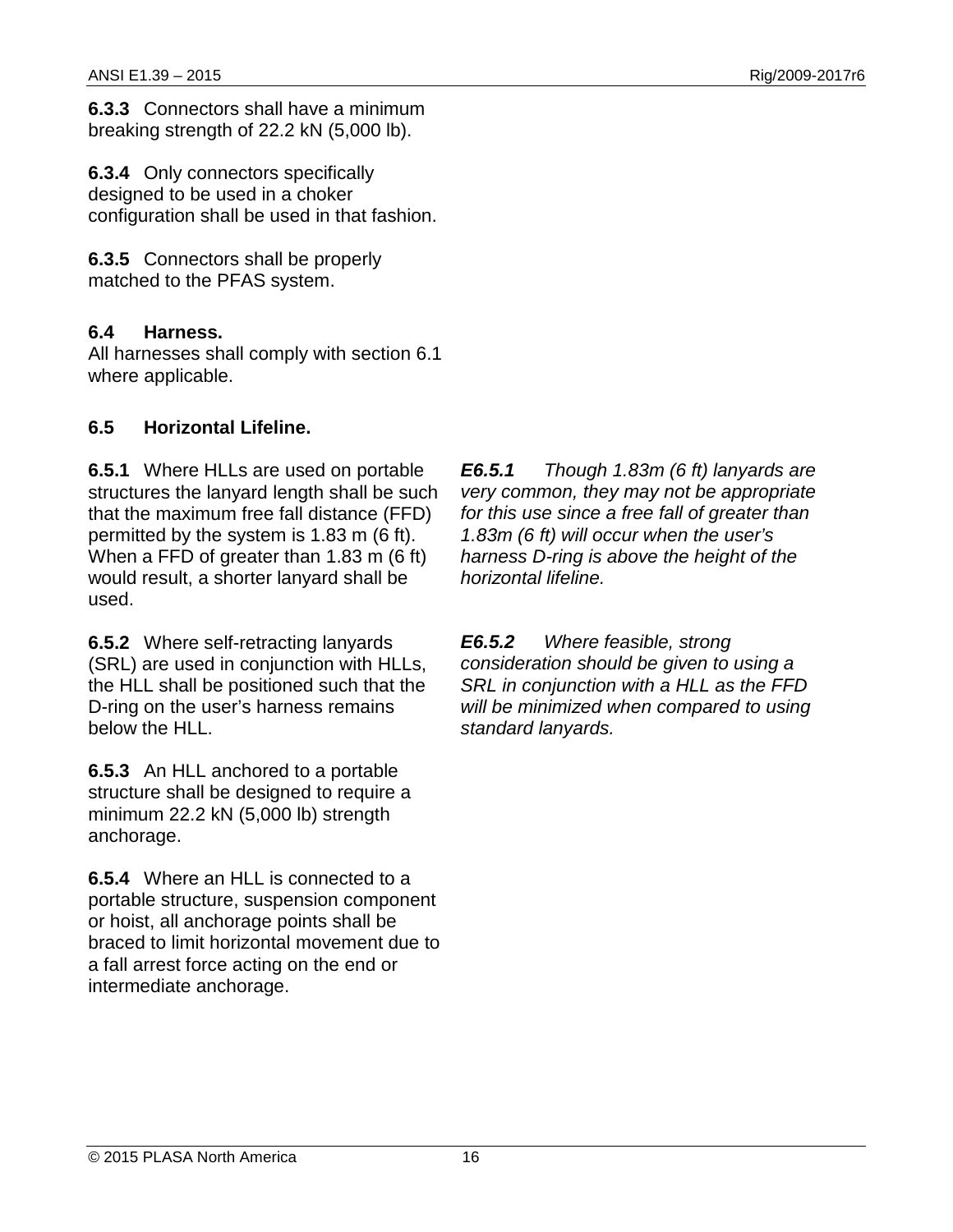**6.3.3** Connectors shall have a minimum breaking strength of 22.2 kN (5,000 lb).

**6.3.4** Only connectors specifically designed to be used in a choker configuration shall be used in that fashion.

**6.3.5** Connectors shall be properly matched to the PFAS system.

# <span id="page-28-0"></span>**6.4 Harness.**

All harnesses shall comply with section 6.1 where applicable.

# <span id="page-28-1"></span>**6.5 Horizontal Lifeline.**

**6.5.1** Where HLLs are used on portable structures the lanyard length shall be such that the maximum free fall distance (FFD) permitted by the system is 1.83 m (6 ft). When a FFD of greater than 1.83 m (6 ft) would result, a shorter lanyard shall be used.

**6.5.2** Where self-retracting lanyards (SRL) are used in conjunction with HLLs, the HLL shall be positioned such that the D-ring on the user's harness remains below the HLL.

**6.5.3** An HLL anchored to a portable structure shall be designed to require a minimum 22.2 kN (5,000 lb) strength anchorage.

**6.5.4** Where an HLL is connected to a portable structure, suspension component or hoist, all anchorage points shall be braced to limit horizontal movement due to a fall arrest force acting on the end or intermediate anchorage.

*E6.5.1 Though 1.83m (6 ft) lanyards are very common, they may not be appropriate for this use since a free fall of greater than 1.83m (6 ft) will occur when the user's harness D-ring is above the height of the horizontal lifeline.*

*E6.5.2 Where feasible, strong consideration should be given to using a SRL in conjunction with a HLL as the FFD will be minimized when compared to using standard lanyards.*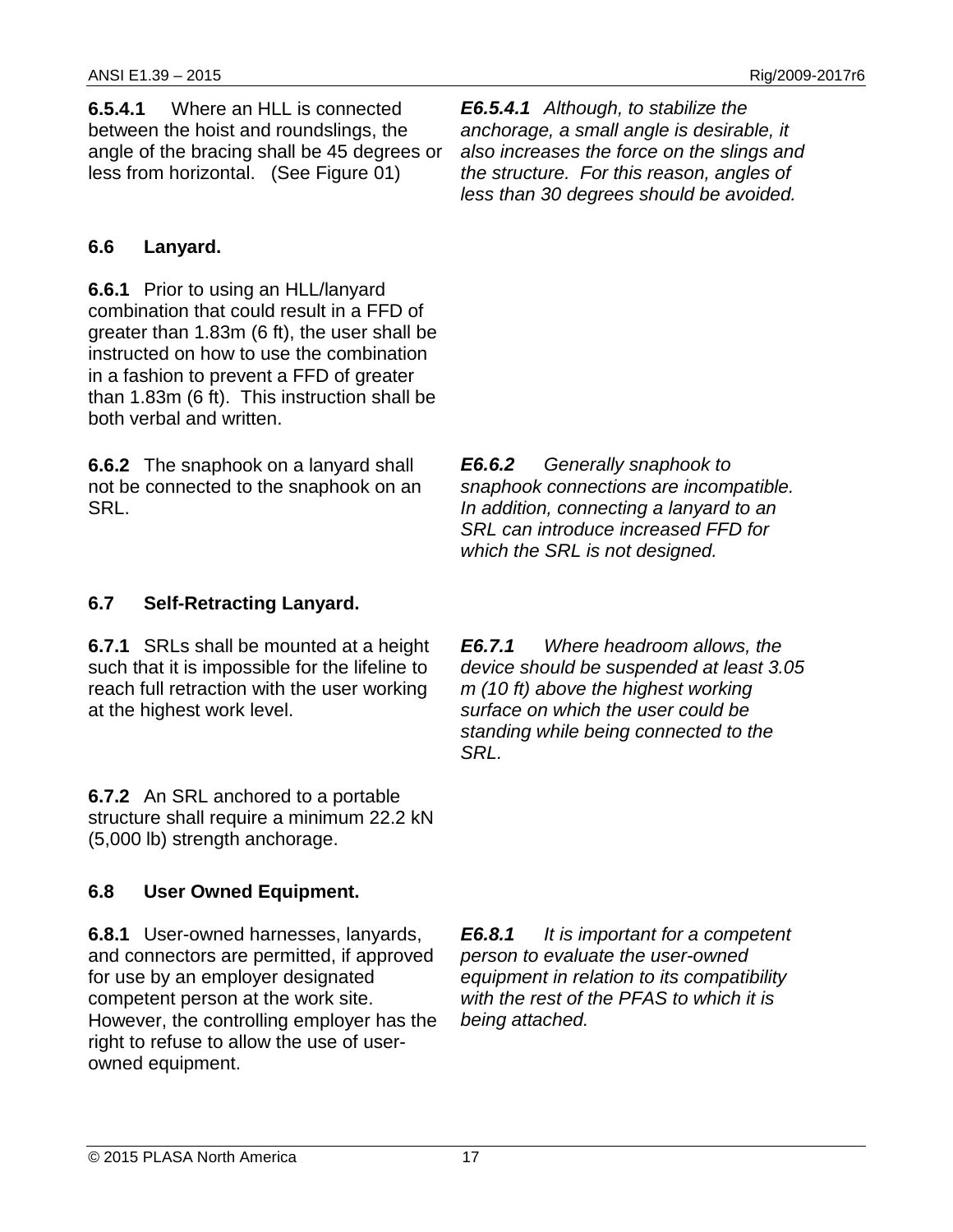**6.5.4.1** Where an HLL is connected between the hoist and roundslings, the angle of the bracing shall be 45 degrees or less from horizontal. (See Figure 01)

*E6.5.4.1 Although, to stabilize the anchorage, a small angle is desirable, it also increases the force on the slings and the structure. For this reason, angles of less than 30 degrees should be avoided.*

# <span id="page-29-0"></span>**6.6 Lanyard.**

**6.6.1** Prior to using an HLL/lanyard combination that could result in a FFD of greater than 1.83m (6 ft), the user shall be instructed on how to use the combination in a fashion to prevent a FFD of greater than 1.83m (6 ft). This instruction shall be both verbal and written.

**6.6.2** The snaphook on a lanyard shall not be connected to the snaphook on an SRL.

*E6.6.2 Generally snaphook to snaphook connections are incompatible. In addition, connecting a lanyard to an SRL can introduce increased FFD for which the SRL is not designed.*

## <span id="page-29-1"></span>**6.7 Self-Retracting Lanyard.**

**6.7.1** SRLs shall be mounted at a height such that it is impossible for the lifeline to reach full retraction with the user working at the highest work level.

*E6.7.1 Where headroom allows, the device should be suspended at least 3.05 m (10 ft) above the highest working surface on which the user could be standing while being connected to the SRL.*

**6.7.2** An SRL anchored to a portable structure shall require a minimum 22.2 kN (5,000 lb) strength anchorage.

# <span id="page-29-2"></span>**6.8 User Owned Equipment.**

**6.8.1** User-owned harnesses, lanyards, and connectors are permitted, if approved for use by an employer designated competent person at the work site. However, the controlling employer has the right to refuse to allow the use of userowned equipment.

*E6.8.1 It is important for a competent person to evaluate the user-owned equipment in relation to its compatibility with the rest of the PFAS to which it is being attached.*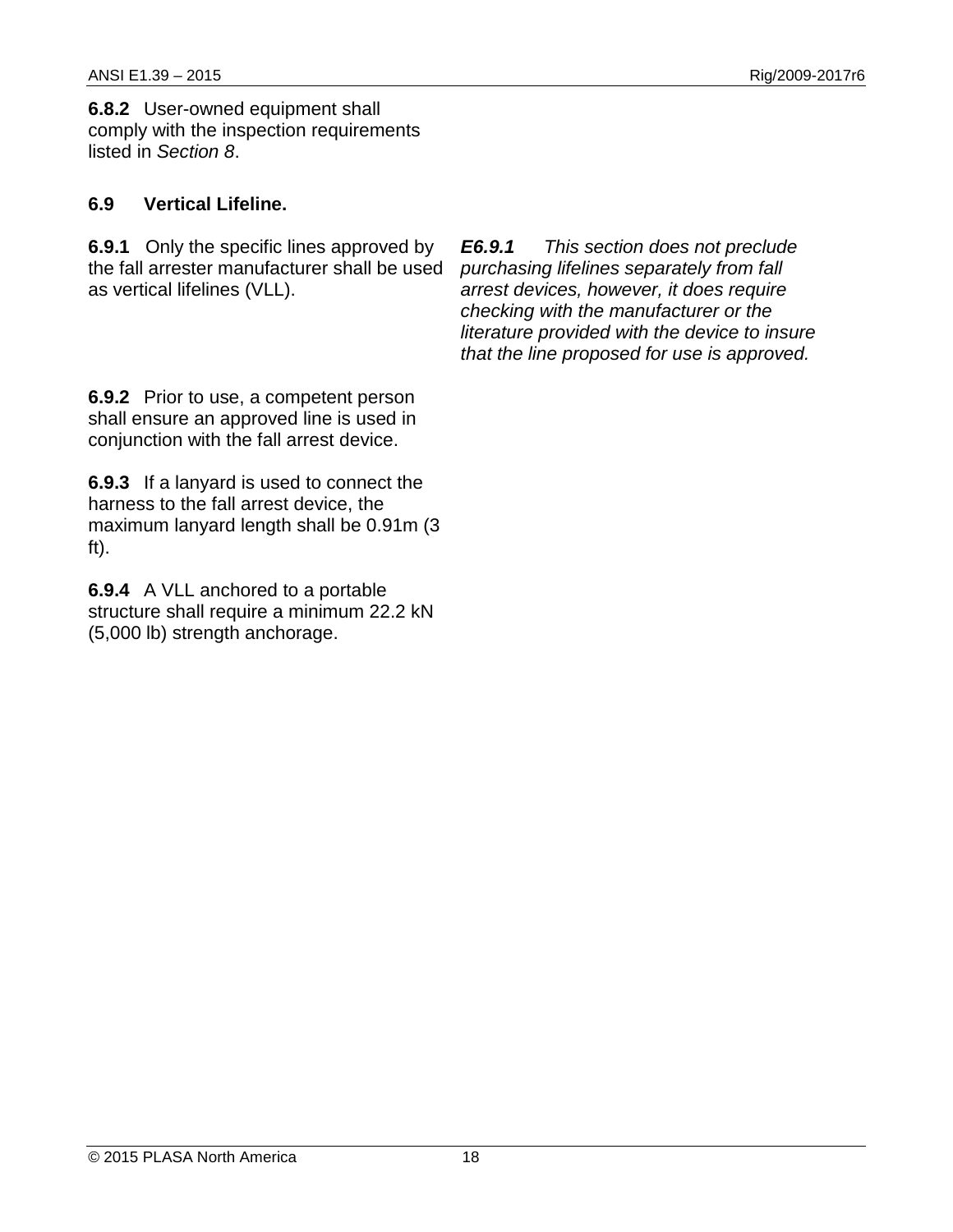**6.8.2** User-owned equipment shall comply with the inspection requirements listed in *Section 8*.

# <span id="page-30-0"></span>**6.9 Vertical Lifeline.**

**6.9.1** Only the specific lines approved by the fall arrester manufacturer shall be used as vertical lifelines (VLL).

*E6.9.1 This section does not preclude purchasing lifelines separately from fall arrest devices, however, it does require checking with the manufacturer or the literature provided with the device to insure that the line proposed for use is approved.*

**6.9.2** Prior to use, a competent person shall ensure an approved line is used in conjunction with the fall arrest device.

**6.9.3** If a lanyard is used to connect the harness to the fall arrest device, the maximum lanyard length shall be 0.91m (3 ft).

**6.9.4** A VLL anchored to a portable structure shall require a minimum 22.2 kN (5,000 lb) strength anchorage.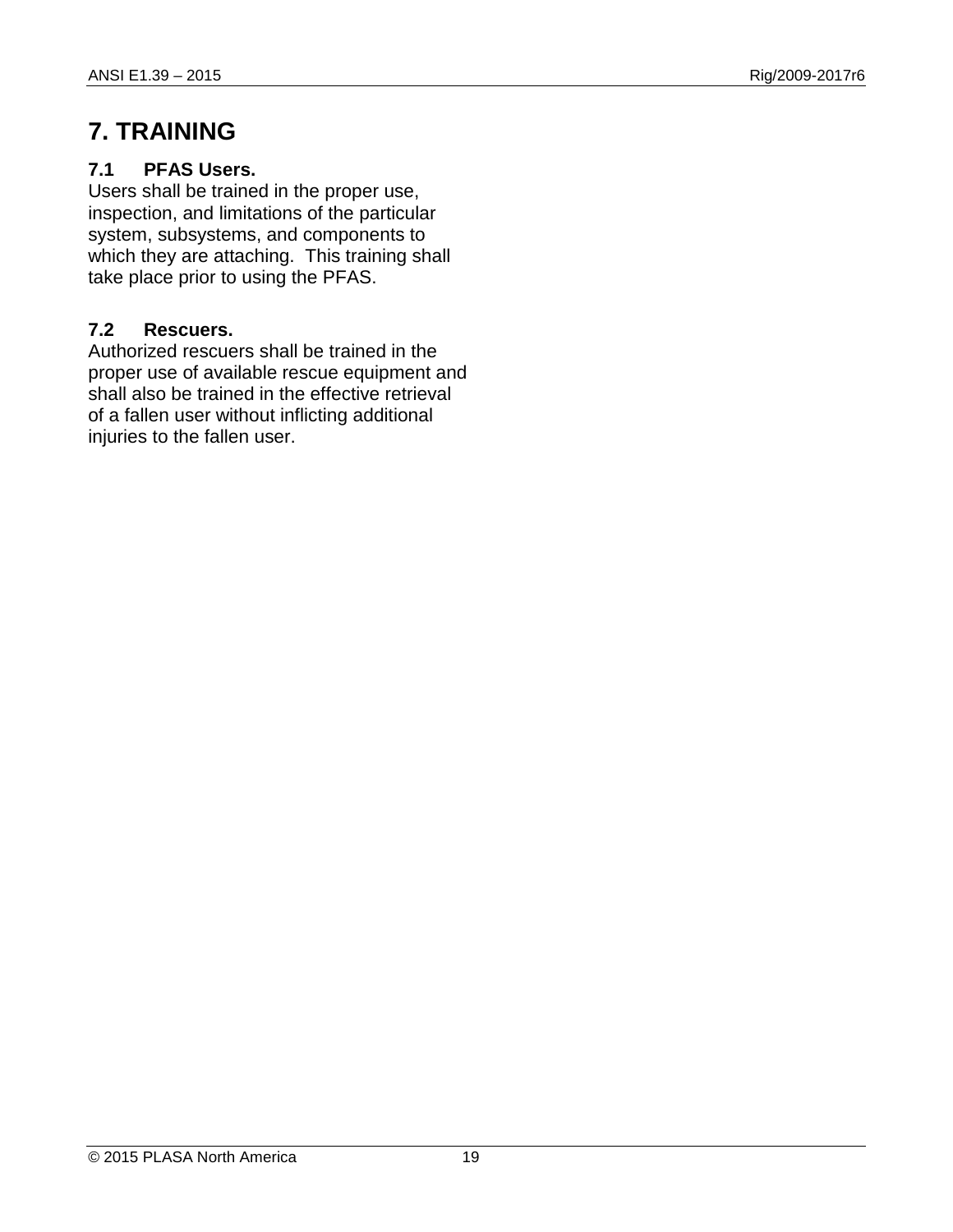# <span id="page-31-0"></span>**7. TRAINING**

# <span id="page-31-1"></span>**7.1 PFAS Users.**

Users shall be trained in the proper use, inspection, and limitations of the particular system, subsystems, and components to which they are attaching. This training shall take place prior to using the PFAS.

# <span id="page-31-2"></span>**7.2 Rescuers.**

Authorized rescuers shall be trained in the proper use of available rescue equipment and shall also be trained in the effective retrieval of a fallen user without inflicting additional injuries to the fallen user.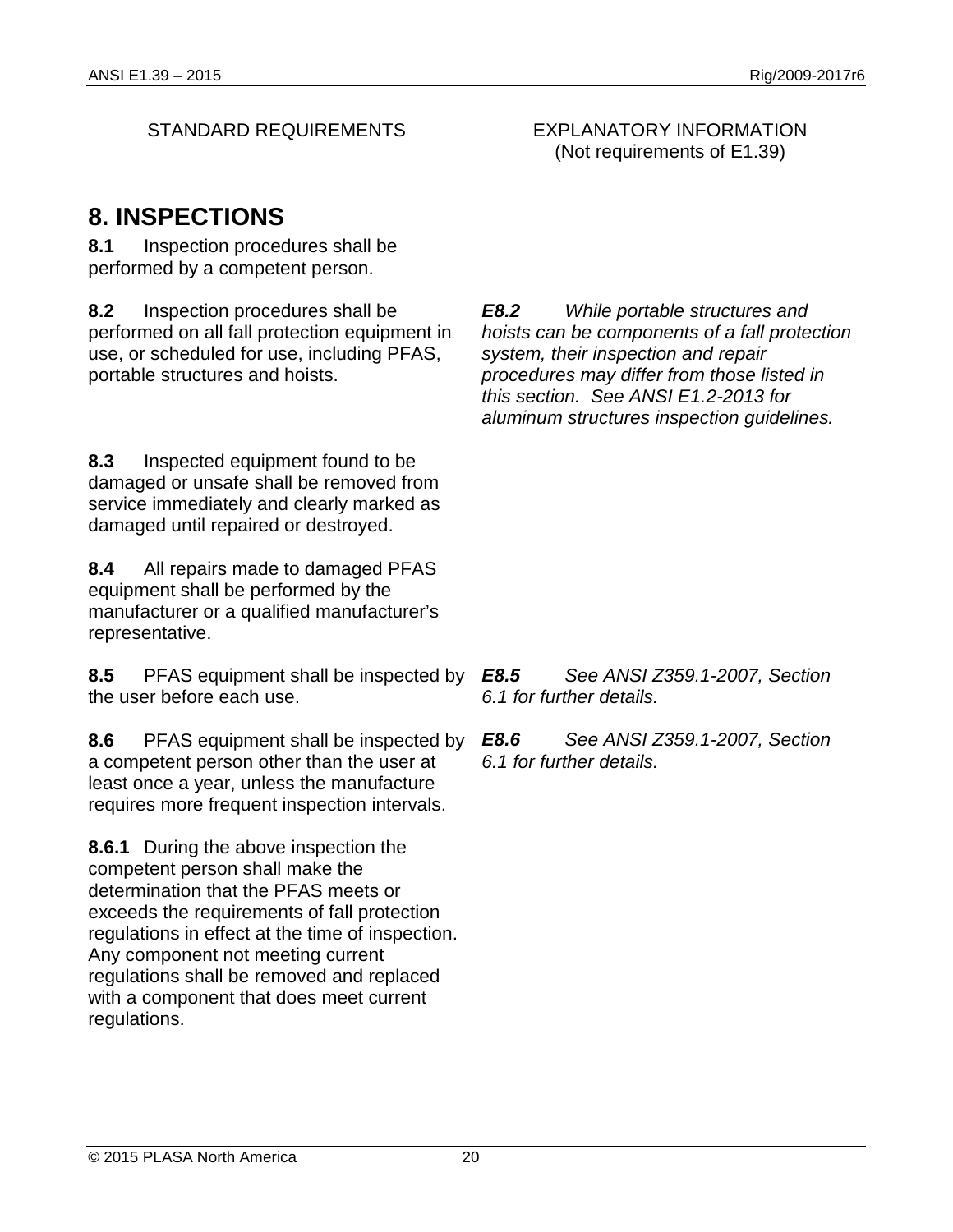# <span id="page-32-0"></span>**8. INSPECTIONS**

**8.1** Inspection procedures shall be performed by a competent person.

**8.2** Inspection procedures shall be performed on all fall protection equipment in use, or scheduled for use, including PFAS, portable structures and hoists.

**8.3** Inspected equipment found to be damaged or unsafe shall be removed from service immediately and clearly marked as damaged until repaired or destroyed.

**8.4** All repairs made to damaged PFAS equipment shall be performed by the manufacturer or a qualified manufacturer's representative.

**8.5** PFAS equipment shall be inspected by **E8.5** the user before each use.

**8.6** PFAS equipment shall be inspected by a competent person other than the user at least once a year, unless the manufacture requires more frequent inspection intervals.

**8.6.1** During the above inspection the competent person shall make the determination that the PFAS meets or exceeds the requirements of fall protection regulations in effect at the time of inspection. Any component not meeting current regulations shall be removed and replaced with a component that does meet current regulations.

STANDARD REQUIREMENTS EXPLANATORY INFORMATION (Not requirements of E1.39)

> *E8.2 While portable structures and hoists can be components of a fall protection system, their inspection and repair procedures may differ from those listed in this section. See ANSI E1.2-2013 for aluminum structures inspection guidelines.*

*E8.5 See ANSI Z359.1-2007, Section 6.1 for further details.*

*E8.6 See ANSI Z359.1-2007, Section 6.1 for further details.*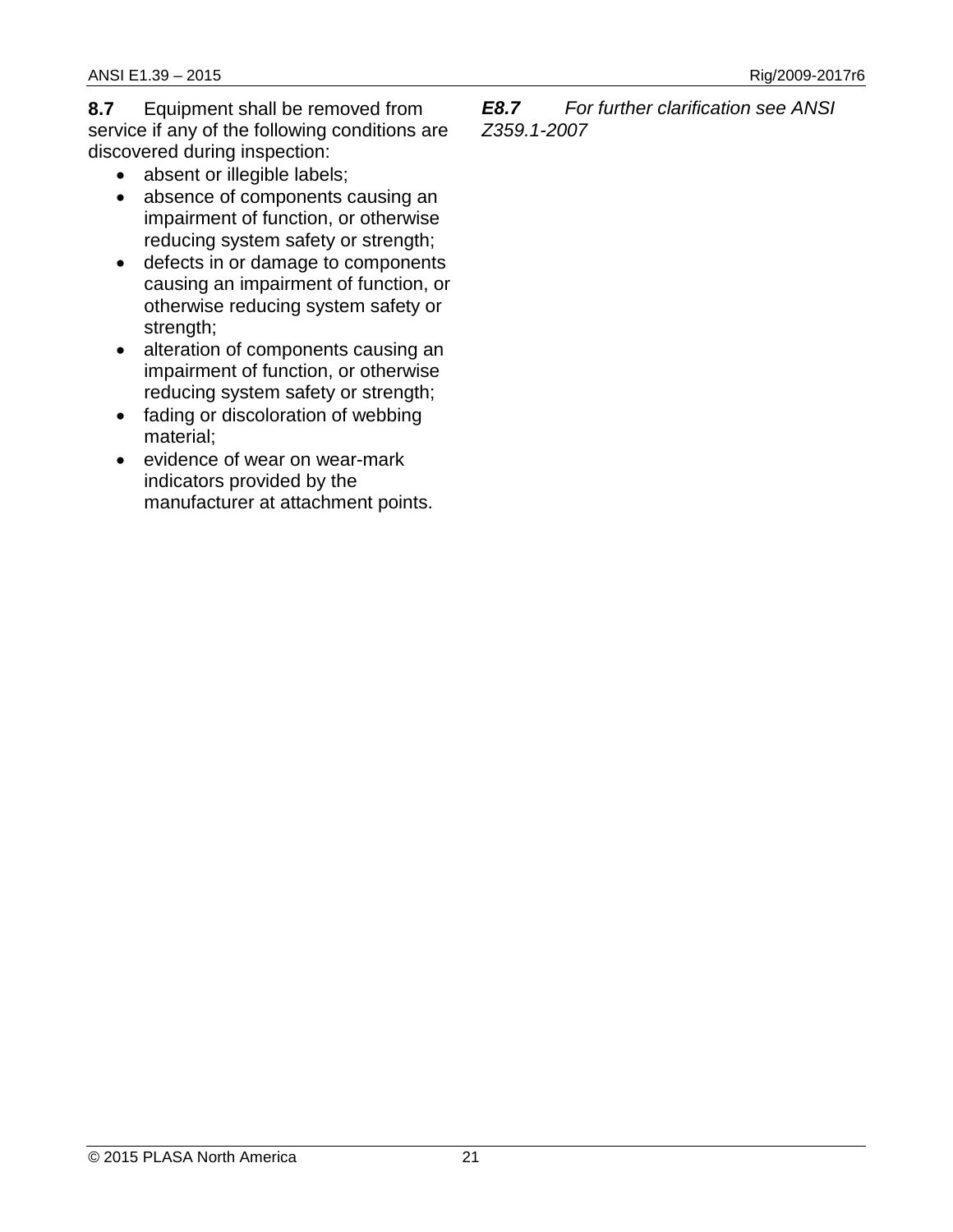**8.7** Equipment shall be removed from service if any of the following conditions are discovered during inspection:

- absent or illegible labels;
- absence of components causing an impairment of function, or otherwise reducing system safety or strength;
- defects in or damage to components causing an impairment of function, or otherwise reducing system safety or strength;
- alteration of components causing an impairment of function, or otherwise reducing system safety or strength;
- fading or discoloration of webbing material;
- evidence of wear on wear-mark indicators provided by the manufacturer at attachment points.

*E8.7 For further clarification see ANSI Z359.1-2007*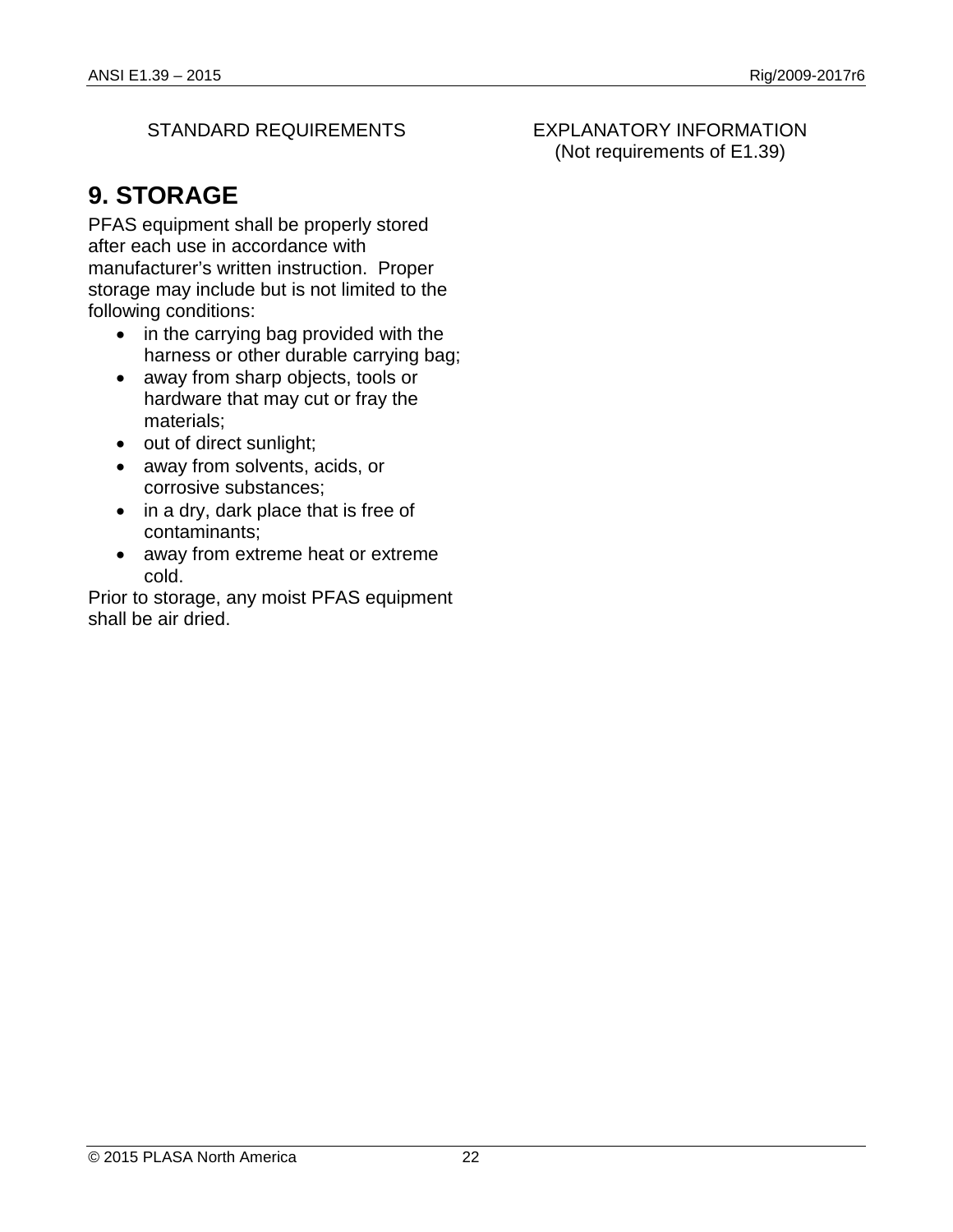# STANDARD REQUIREMENTS EXPLANATORY INFORMATION

(Not requirements of E1.39)

# <span id="page-34-0"></span>**9. STORAGE**

PFAS equipment shall be properly stored after each use in accordance with manufacturer's written instruction. Proper storage may include but is not limited to the following conditions:

- in the carrying bag provided with the harness or other durable carrying bag;
- away from sharp objects, tools or hardware that may cut or fray the materials;
- out of direct sunlight;
- away from solvents, acids, or corrosive substances;
- in a dry, dark place that is free of contaminants;
- away from extreme heat or extreme cold.

Prior to storage, any moist PFAS equipment shall be air dried.